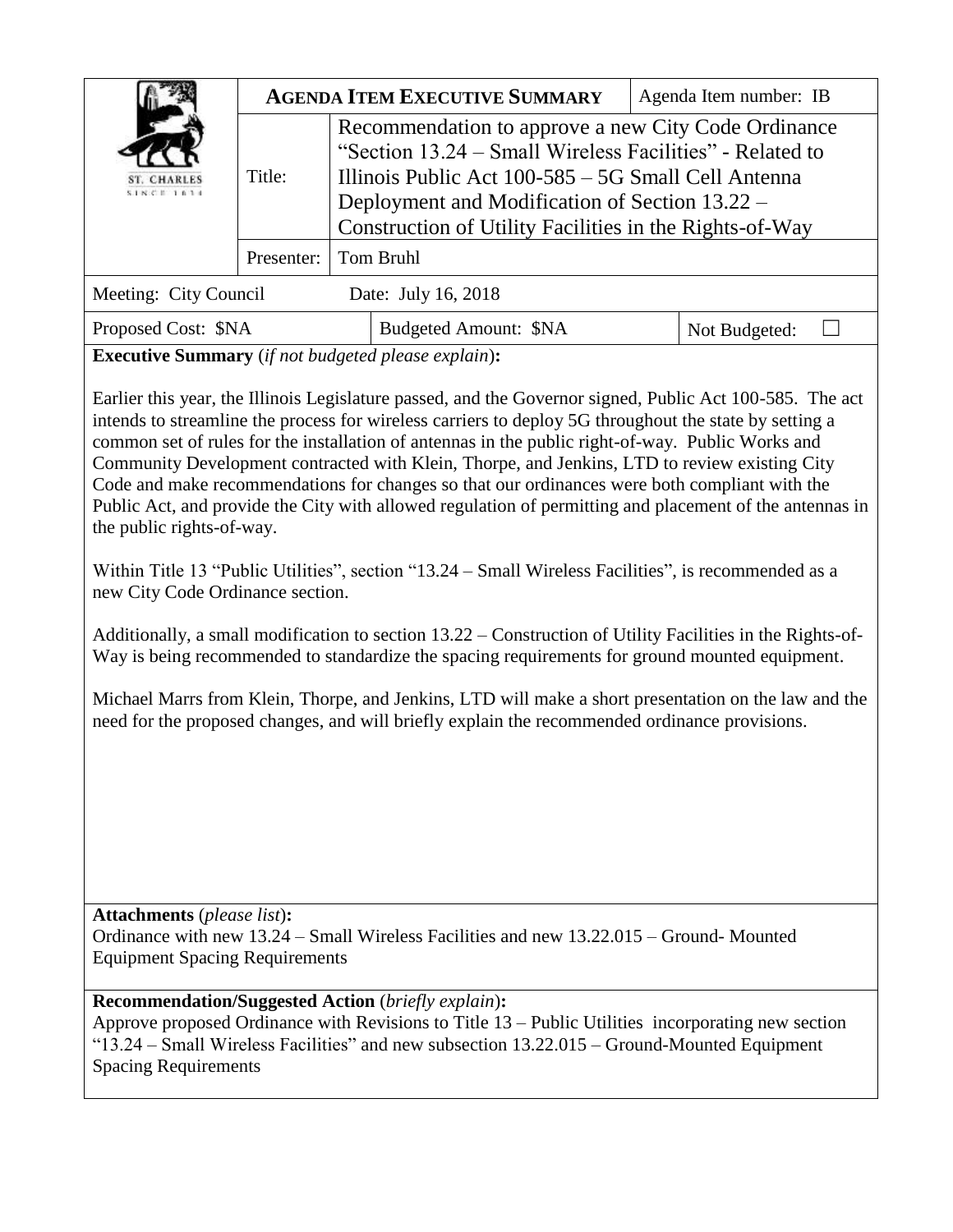| <b>ST. CHARLES</b><br>$S$ 1 $N$ $C$ $T$ 1 $R$ 3 $d$ | <b>AGENDA ITEM EXECUTIVE SUMMARY</b> |                                                                                                                                                                                                                                                                                     |                              | Agenda Item number: IB |               |  |
|-----------------------------------------------------|--------------------------------------|-------------------------------------------------------------------------------------------------------------------------------------------------------------------------------------------------------------------------------------------------------------------------------------|------------------------------|------------------------|---------------|--|
|                                                     | Title:                               | Recommendation to approve a new City Code Ordinance<br>"Section 13.24 – Small Wireless Facilities" - Related to<br>Illinois Public Act 100-585 – 5G Small Cell Antenna<br>Deployment and Modification of Section 13.22 –<br>Construction of Utility Facilities in the Rights-of-Way |                              |                        |               |  |
|                                                     | Presenter:                           | Tom Bruhl                                                                                                                                                                                                                                                                           |                              |                        |               |  |
| Meeting: City Council                               |                                      |                                                                                                                                                                                                                                                                                     | Date: July 16, 2018          |                        |               |  |
| Proposed Cost: \$NA                                 |                                      |                                                                                                                                                                                                                                                                                     | <b>Budgeted Amount: \$NA</b> |                        | Not Budgeted: |  |

**Executive Summary** (*if not budgeted please explain*)**:**

Earlier this year, the Illinois Legislature passed, and the Governor signed, Public Act 100-585. The act intends to streamline the process for wireless carriers to deploy 5G throughout the state by setting a common set of rules for the installation of antennas in the public right-of-way. Public Works and Community Development contracted with Klein, Thorpe, and Jenkins, LTD to review existing City Code and make recommendations for changes so that our ordinances were both compliant with the Public Act, and provide the City with allowed regulation of permitting and placement of the antennas in the public rights-of-way.

Within Title 13 "Public Utilities", section "13.24 – Small Wireless Facilities", is recommended as a new City Code Ordinance section.

Additionally, a small modification to section 13.22 – Construction of Utility Facilities in the Rights-of-Way is being recommended to standardize the spacing requirements for ground mounted equipment.

Michael Marrs from Klein, Thorpe, and Jenkins, LTD will make a short presentation on the law and the need for the proposed changes, and will briefly explain the recommended ordinance provisions.

**Attachments** (*please list*)**:**  Ordinance with new 13.24 – Small Wireless Facilities and new 13.22.015 – Ground- Mounted Equipment Spacing Requirements

**Recommendation/Suggested Action** (*briefly explain*)**:**

Approve proposed Ordinance with Revisions to Title 13 – Public Utilities incorporating new section "13.24 – Small Wireless Facilities" and new subsection 13.22.015 – Ground-Mounted Equipment Spacing Requirements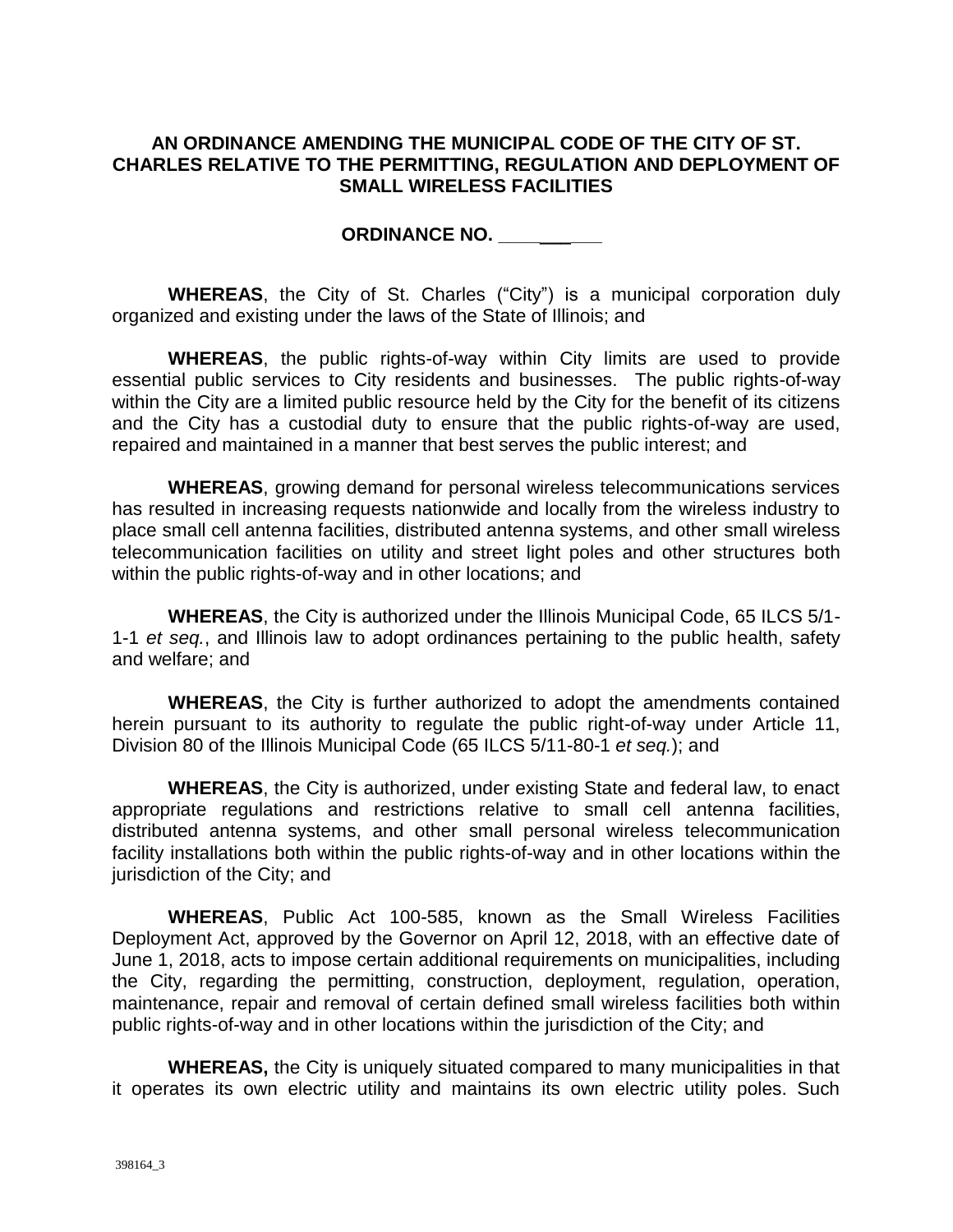### **AN ORDINANCE AMENDING THE MUNICIPAL CODE OF THE CITY OF ST. CHARLES RELATIVE TO THE PERMITTING, REGULATION AND DEPLOYMENT OF SMALL WIRELESS FACILITIES**

**ORDINANCE NO. \_\_\_\_\_\_\_\_\_\_** 

**WHEREAS**, the City of St. Charles ("City") is a municipal corporation duly organized and existing under the laws of the State of Illinois; and

**WHEREAS**, the public rights-of-way within City limits are used to provide essential public services to City residents and businesses. The public rights-of-way within the City are a limited public resource held by the City for the benefit of its citizens and the City has a custodial duty to ensure that the public rights-of-way are used, repaired and maintained in a manner that best serves the public interest; and

**WHEREAS**, growing demand for personal wireless telecommunications services has resulted in increasing requests nationwide and locally from the wireless industry to place small cell antenna facilities, distributed antenna systems, and other small wireless telecommunication facilities on utility and street light poles and other structures both within the public rights-of-way and in other locations; and

**WHEREAS**, the City is authorized under the Illinois Municipal Code, 65 ILCS 5/1- 1-1 *et seq.*, and Illinois law to adopt ordinances pertaining to the public health, safety and welfare; and

**WHEREAS**, the City is further authorized to adopt the amendments contained herein pursuant to its authority to regulate the public right-of-way under Article 11, Division 80 of the Illinois Municipal Code (65 ILCS 5/11-80-1 *et seq.*); and

**WHEREAS**, the City is authorized, under existing State and federal law, to enact appropriate regulations and restrictions relative to small cell antenna facilities, distributed antenna systems, and other small personal wireless telecommunication facility installations both within the public rights-of-way and in other locations within the jurisdiction of the City; and

**WHEREAS**, Public Act 100-585, known as the Small Wireless Facilities Deployment Act, approved by the Governor on April 12, 2018, with an effective date of June 1, 2018, acts to impose certain additional requirements on municipalities, including the City, regarding the permitting, construction, deployment, regulation, operation, maintenance, repair and removal of certain defined small wireless facilities both within public rights-of-way and in other locations within the jurisdiction of the City; and

**WHEREAS,** the City is uniquely situated compared to many municipalities in that it operates its own electric utility and maintains its own electric utility poles. Such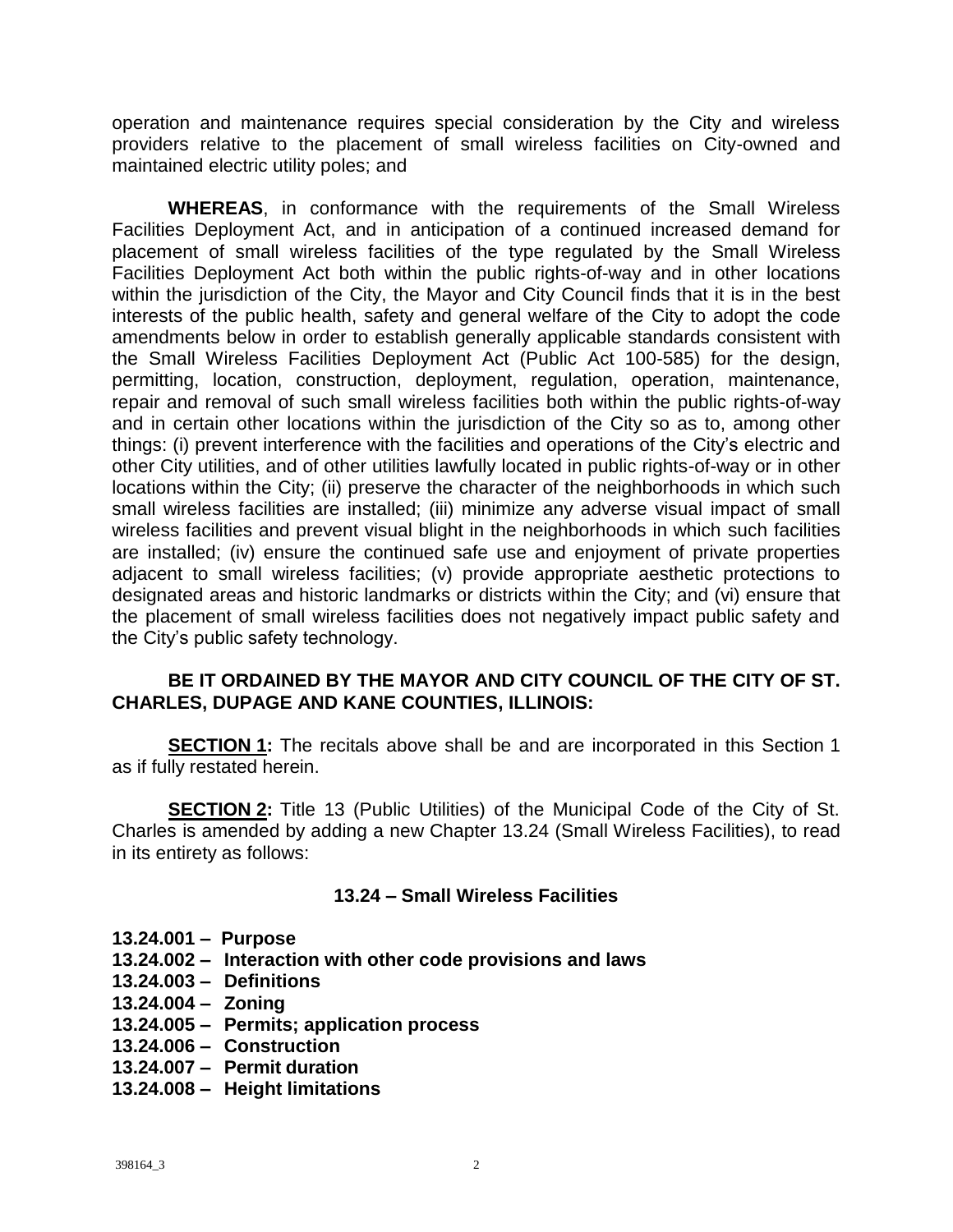operation and maintenance requires special consideration by the City and wireless providers relative to the placement of small wireless facilities on City-owned and maintained electric utility poles; and

**WHEREAS**, in conformance with the requirements of the Small Wireless Facilities Deployment Act, and in anticipation of a continued increased demand for placement of small wireless facilities of the type regulated by the Small Wireless Facilities Deployment Act both within the public rights-of-way and in other locations within the jurisdiction of the City, the Mayor and City Council finds that it is in the best interests of the public health, safety and general welfare of the City to adopt the code amendments below in order to establish generally applicable standards consistent with the Small Wireless Facilities Deployment Act (Public Act 100-585) for the design, permitting, location, construction, deployment, regulation, operation, maintenance, repair and removal of such small wireless facilities both within the public rights-of-way and in certain other locations within the jurisdiction of the City so as to, among other things: (i) prevent interference with the facilities and operations of the City's electric and other City utilities, and of other utilities lawfully located in public rights-of-way or in other locations within the City; (ii) preserve the character of the neighborhoods in which such small wireless facilities are installed; (iii) minimize any adverse visual impact of small wireless facilities and prevent visual blight in the neighborhoods in which such facilities are installed; (iv) ensure the continued safe use and enjoyment of private properties adjacent to small wireless facilities; (v) provide appropriate aesthetic protections to designated areas and historic landmarks or districts within the City; and (vi) ensure that the placement of small wireless facilities does not negatively impact public safety and the City's public safety technology.

#### **BE IT ORDAINED BY THE MAYOR AND CITY COUNCIL OF THE CITY OF ST. CHARLES, DUPAGE AND KANE COUNTIES, ILLINOIS:**

**SECTION 1:** The recitals above shall be and are incorporated in this Section 1 as if fully restated herein.

**SECTION 2:** Title 13 (Public Utilities) of the Municipal Code of the City of St. Charles is amended by adding a new Chapter 13.24 (Small Wireless Facilities), to read in its entirety as follows:

### **13.24 – Small Wireless Facilities**

- **13.24.001 Purpose**
- **13.24.002 Interaction with other code provisions and laws**
- **13.24.003 Definitions**
- **13.24.004 Zoning**
- **13.24.005 Permits; application process**
- **13.24.006 Construction**
- **13.24.007 Permit duration**
- **13.24.008 Height limitations**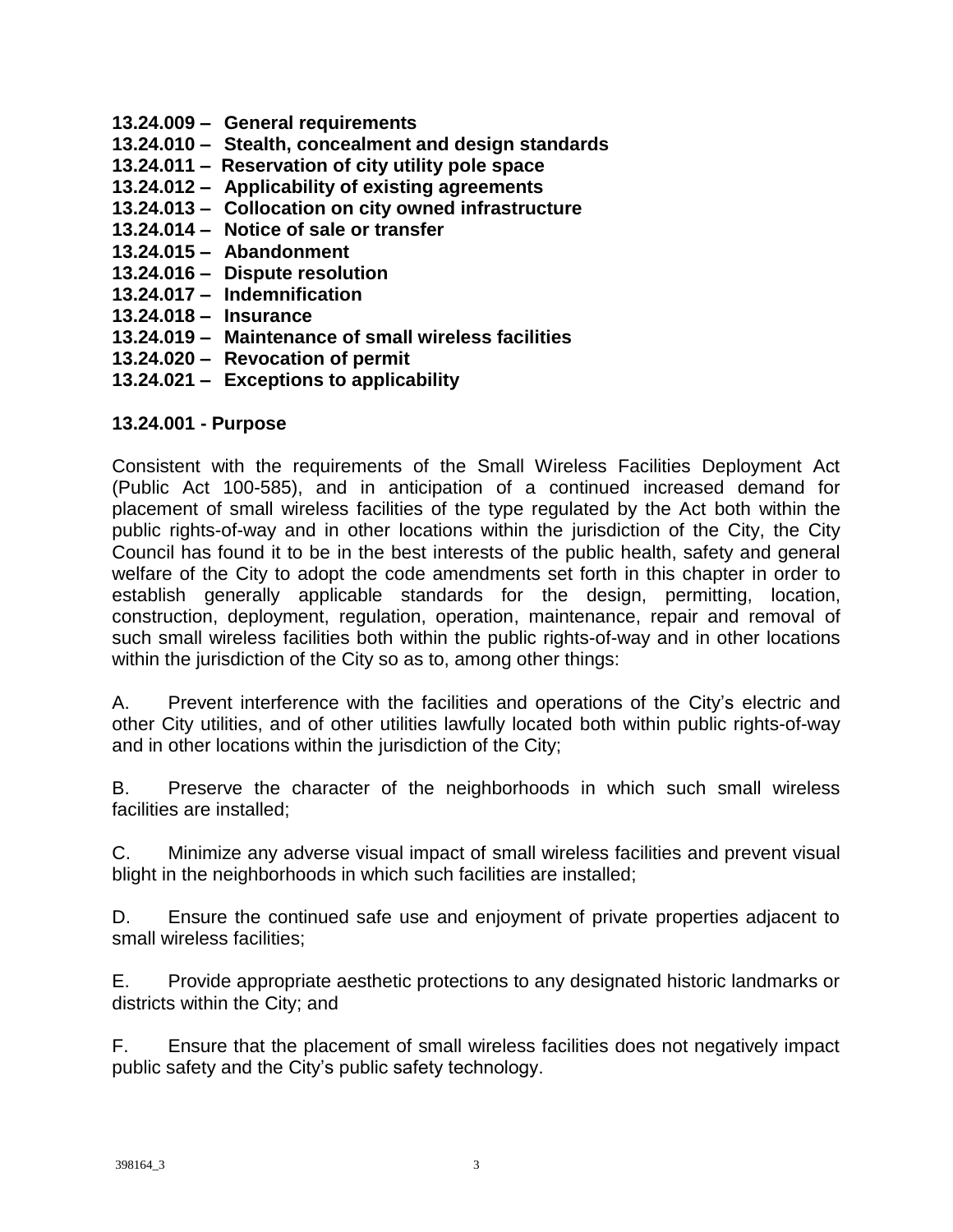- **13.24.009 General requirements**
- **13.24.010 Stealth, concealment and design standards**
- **13.24.011 Reservation of city utility pole space**
- **13.24.012 Applicability of existing agreements**
- **13.24.013 Collocation on city owned infrastructure**
- **13.24.014 Notice of sale or transfer**
- **13.24.015 Abandonment**
- **13.24.016 Dispute resolution**
- **13.24.017 Indemnification**
- **13.24.018 Insurance**
- **13.24.019 Maintenance of small wireless facilities**
- **13.24.020 Revocation of permit**
- **13.24.021 Exceptions to applicability**

### **13.24.001 - Purpose**

Consistent with the requirements of the Small Wireless Facilities Deployment Act (Public Act 100-585), and in anticipation of a continued increased demand for placement of small wireless facilities of the type regulated by the Act both within the public rights-of-way and in other locations within the jurisdiction of the City, the City Council has found it to be in the best interests of the public health, safety and general welfare of the City to adopt the code amendments set forth in this chapter in order to establish generally applicable standards for the design, permitting, location, construction, deployment, regulation, operation, maintenance, repair and removal of such small wireless facilities both within the public rights-of-way and in other locations within the jurisdiction of the City so as to, among other things:

A. Prevent interference with the facilities and operations of the City's electric and other City utilities, and of other utilities lawfully located both within public rights-of-way and in other locations within the jurisdiction of the City;

B. Preserve the character of the neighborhoods in which such small wireless facilities are installed;

C. Minimize any adverse visual impact of small wireless facilities and prevent visual blight in the neighborhoods in which such facilities are installed;

D. Ensure the continued safe use and enjoyment of private properties adjacent to small wireless facilities;

E. Provide appropriate aesthetic protections to any designated historic landmarks or districts within the City; and

F. Ensure that the placement of small wireless facilities does not negatively impact public safety and the City's public safety technology.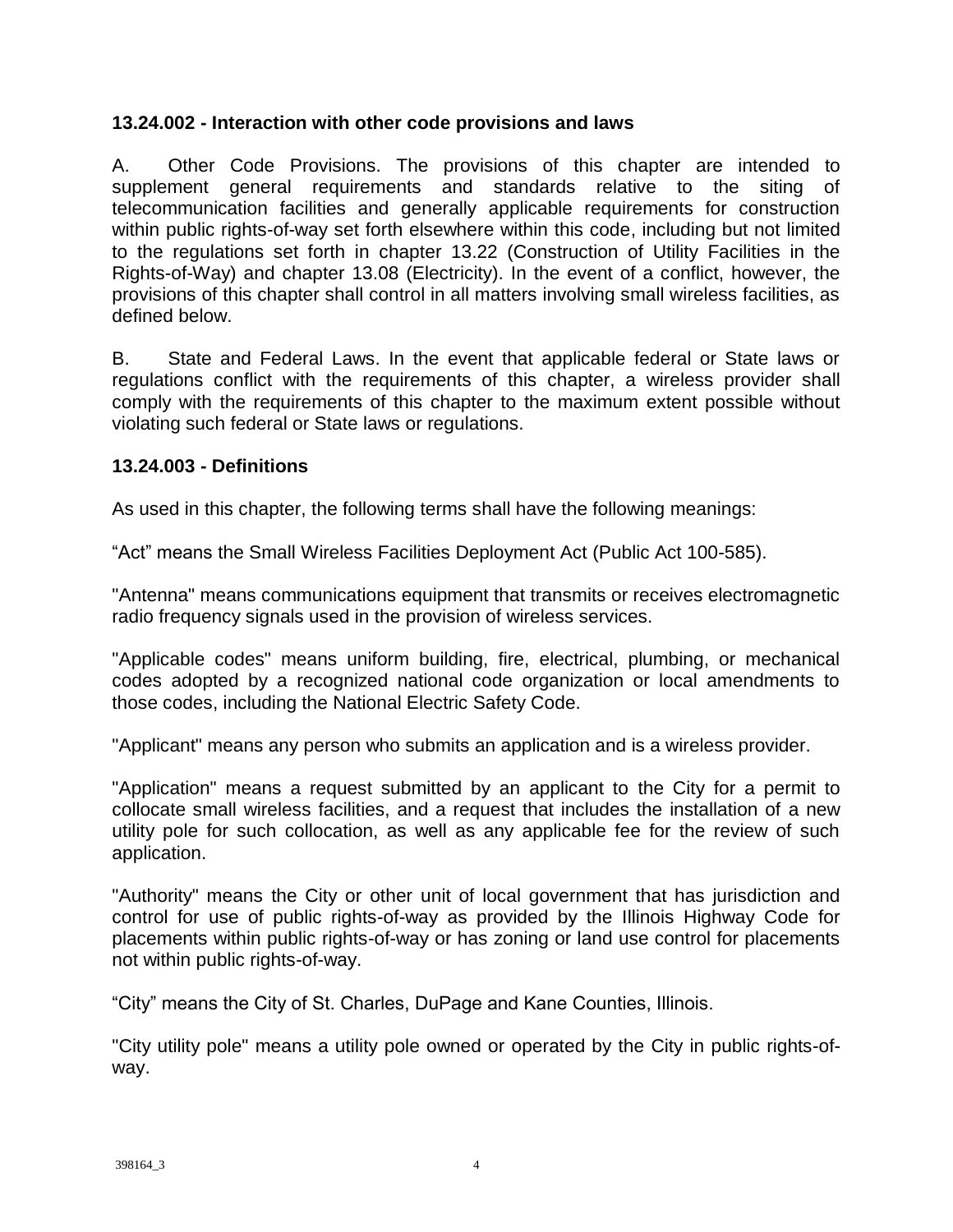#### **13.24.002 - Interaction with other code provisions and laws**

A. Other Code Provisions. The provisions of this chapter are intended to supplement general requirements and standards relative to the siting of telecommunication facilities and generally applicable requirements for construction within public rights-of-way set forth elsewhere within this code, including but not limited to the regulations set forth in chapter 13.22 (Construction of Utility Facilities in the Rights-of-Way) and chapter 13.08 (Electricity). In the event of a conflict, however, the provisions of this chapter shall control in all matters involving small wireless facilities, as defined below.

B. State and Federal Laws. In the event that applicable federal or State laws or regulations conflict with the requirements of this chapter, a wireless provider shall comply with the requirements of this chapter to the maximum extent possible without violating such federal or State laws or regulations.

#### **13.24.003 - Definitions**

As used in this chapter, the following terms shall have the following meanings:

"Act" means the Small Wireless Facilities Deployment Act (Public Act 100-585).

"Antenna" means communications equipment that transmits or receives electromagnetic radio frequency signals used in the provision of wireless services.

"Applicable codes" means uniform building, fire, electrical, plumbing, or mechanical codes adopted by a recognized national code organization or local amendments to those codes, including the National Electric Safety Code.

"Applicant" means any person who submits an application and is a wireless provider.

"Application" means a request submitted by an applicant to the City for a permit to collocate small wireless facilities, and a request that includes the installation of a new utility pole for such collocation, as well as any applicable fee for the review of such application.

"Authority" means the City or other unit of local government that has jurisdiction and control for use of public rights-of-way as provided by the Illinois Highway Code for placements within public rights-of-way or has zoning or land use control for placements not within public rights-of-way.

"City" means the City of St. Charles, DuPage and Kane Counties, Illinois.

"City utility pole" means a utility pole owned or operated by the City in public rights-ofway.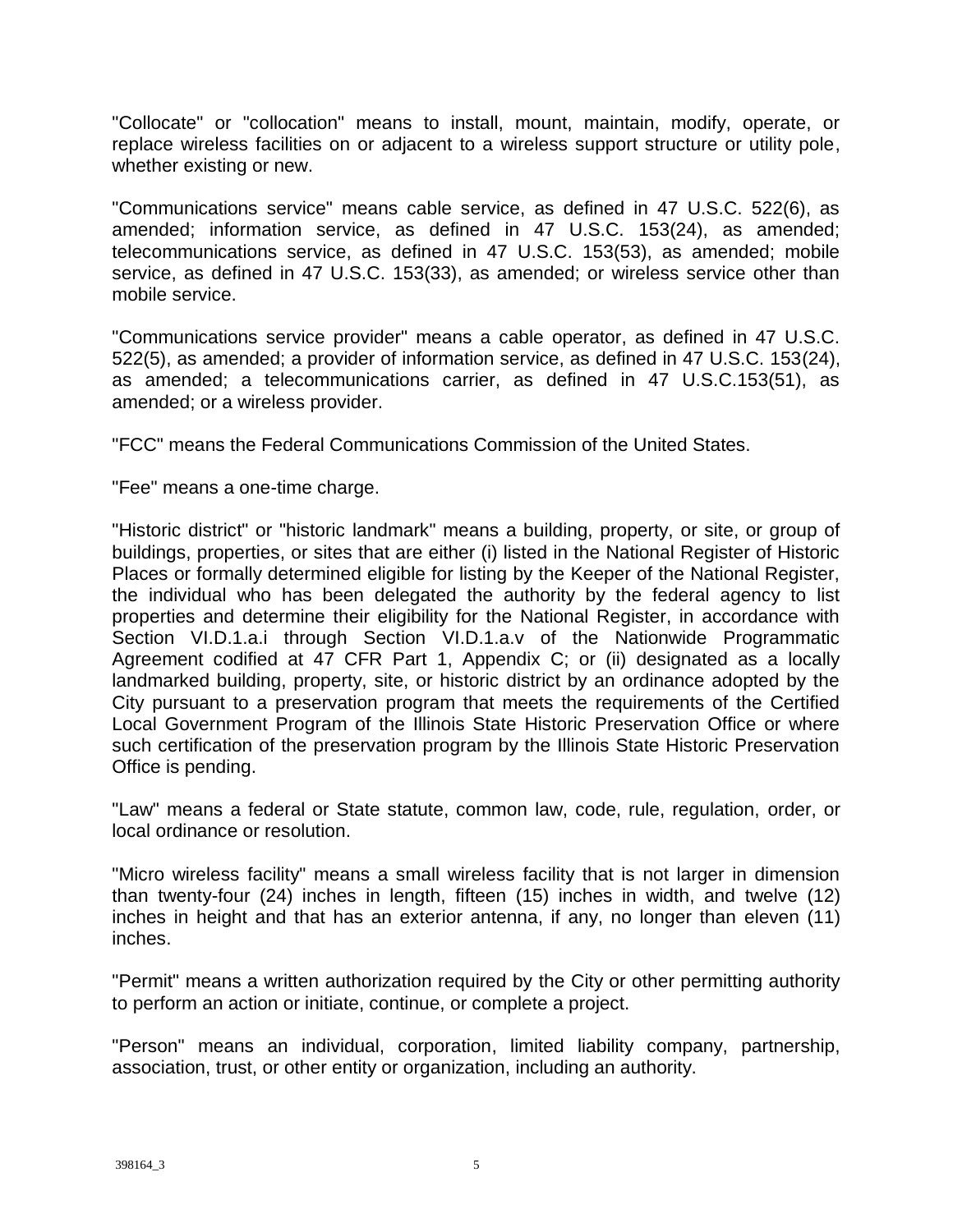"Collocate" or "collocation" means to install, mount, maintain, modify, operate, or replace wireless facilities on or adjacent to a wireless support structure or utility pole, whether existing or new.

"Communications service" means cable service, as defined in 47 U.S.C. 522(6), as amended; information service, as defined in 47 U.S.C. 153(24), as amended; telecommunications service, as defined in 47 U.S.C. 153(53), as amended; mobile service, as defined in 47 U.S.C. 153(33), as amended; or wireless service other than mobile service.

"Communications service provider" means a cable operator, as defined in 47 U.S.C. 522(5), as amended; a provider of information service, as defined in 47 U.S.C. 153(24), as amended; a telecommunications carrier, as defined in 47 U.S.C.153(51), as amended; or a wireless provider.

"FCC" means the Federal Communications Commission of the United States.

"Fee" means a one-time charge.

"Historic district" or "historic landmark" means a building, property, or site, or group of buildings, properties, or sites that are either (i) listed in the National Register of Historic Places or formally determined eligible for listing by the Keeper of the National Register, the individual who has been delegated the authority by the federal agency to list properties and determine their eligibility for the National Register, in accordance with Section VI.D.1.a.i through Section VI.D.1.a.v of the Nationwide Programmatic Agreement codified at 47 CFR Part 1, Appendix C; or (ii) designated as a locally landmarked building, property, site, or historic district by an ordinance adopted by the City pursuant to a preservation program that meets the requirements of the Certified Local Government Program of the Illinois State Historic Preservation Office or where such certification of the preservation program by the Illinois State Historic Preservation Office is pending.

"Law" means a federal or State statute, common law, code, rule, regulation, order, or local ordinance or resolution.

"Micro wireless facility" means a small wireless facility that is not larger in dimension than twenty-four (24) inches in length, fifteen (15) inches in width, and twelve (12) inches in height and that has an exterior antenna, if any, no longer than eleven (11) inches.

"Permit" means a written authorization required by the City or other permitting authority to perform an action or initiate, continue, or complete a project.

"Person" means an individual, corporation, limited liability company, partnership, association, trust, or other entity or organization, including an authority.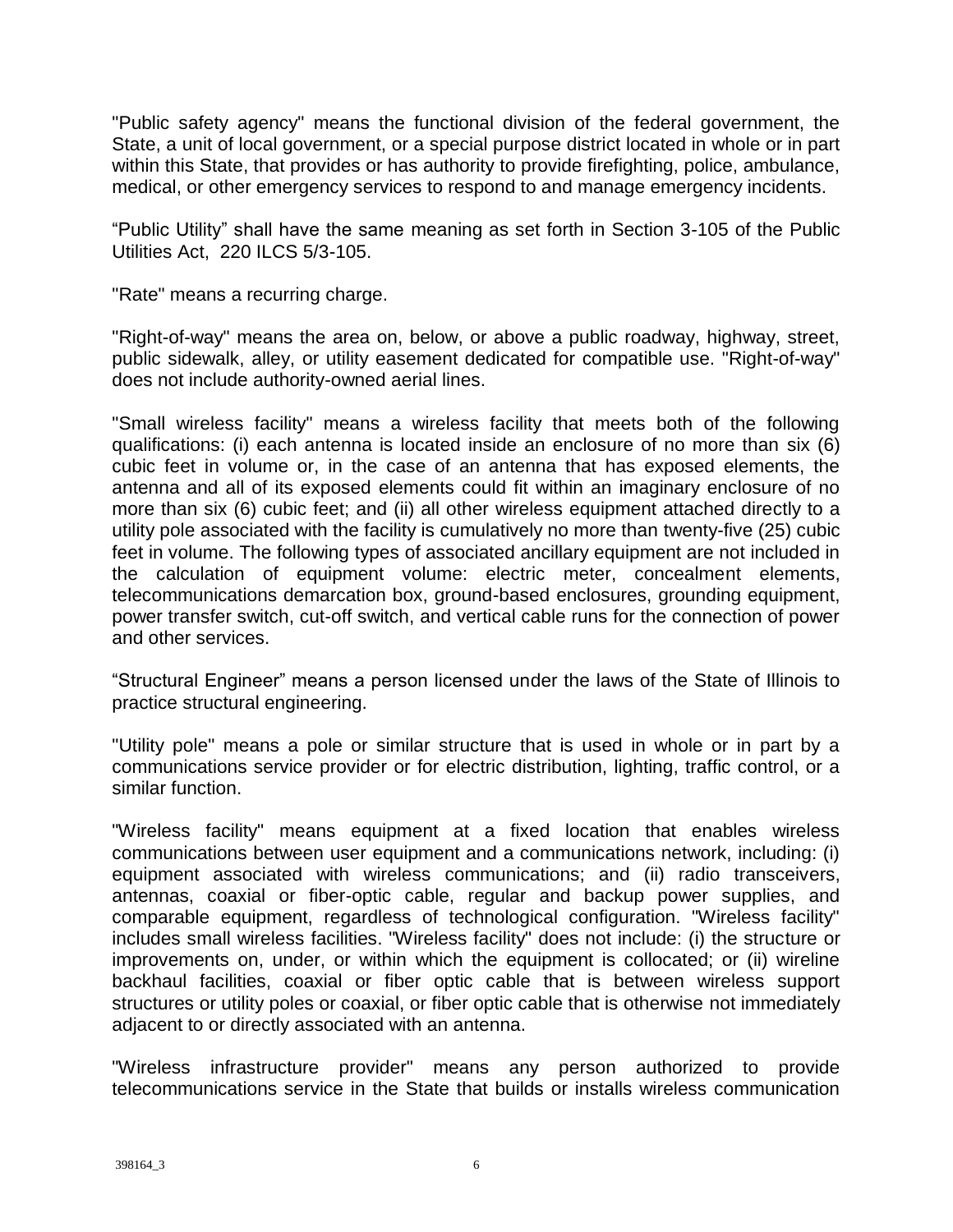"Public safety agency" means the functional division of the federal government, the State, a unit of local government, or a special purpose district located in whole or in part within this State, that provides or has authority to provide firefighting, police, ambulance, medical, or other emergency services to respond to and manage emergency incidents.

"Public Utility" shall have the same meaning as set forth in Section 3-105 of the Public Utilities Act, 220 ILCS 5/3-105.

"Rate" means a recurring charge.

"Right-of-way" means the area on, below, or above a public roadway, highway, street, public sidewalk, alley, or utility easement dedicated for compatible use. "Right-of-way" does not include authority-owned aerial lines.

"Small wireless facility" means a wireless facility that meets both of the following qualifications: (i) each antenna is located inside an enclosure of no more than six (6) cubic feet in volume or, in the case of an antenna that has exposed elements, the antenna and all of its exposed elements could fit within an imaginary enclosure of no more than six (6) cubic feet; and (ii) all other wireless equipment attached directly to a utility pole associated with the facility is cumulatively no more than twenty-five (25) cubic feet in volume. The following types of associated ancillary equipment are not included in the calculation of equipment volume: electric meter, concealment elements, telecommunications demarcation box, ground-based enclosures, grounding equipment, power transfer switch, cut-off switch, and vertical cable runs for the connection of power and other services.

"Structural Engineer" means a person licensed under the laws of the State of Illinois to practice structural engineering.

"Utility pole" means a pole or similar structure that is used in whole or in part by a communications service provider or for electric distribution, lighting, traffic control, or a similar function.

"Wireless facility" means equipment at a fixed location that enables wireless communications between user equipment and a communications network, including: (i) equipment associated with wireless communications; and (ii) radio transceivers, antennas, coaxial or fiber-optic cable, regular and backup power supplies, and comparable equipment, regardless of technological configuration. "Wireless facility" includes small wireless facilities. "Wireless facility" does not include: (i) the structure or improvements on, under, or within which the equipment is collocated; or (ii) wireline backhaul facilities, coaxial or fiber optic cable that is between wireless support structures or utility poles or coaxial, or fiber optic cable that is otherwise not immediately adjacent to or directly associated with an antenna.

"Wireless infrastructure provider" means any person authorized to provide telecommunications service in the State that builds or installs wireless communication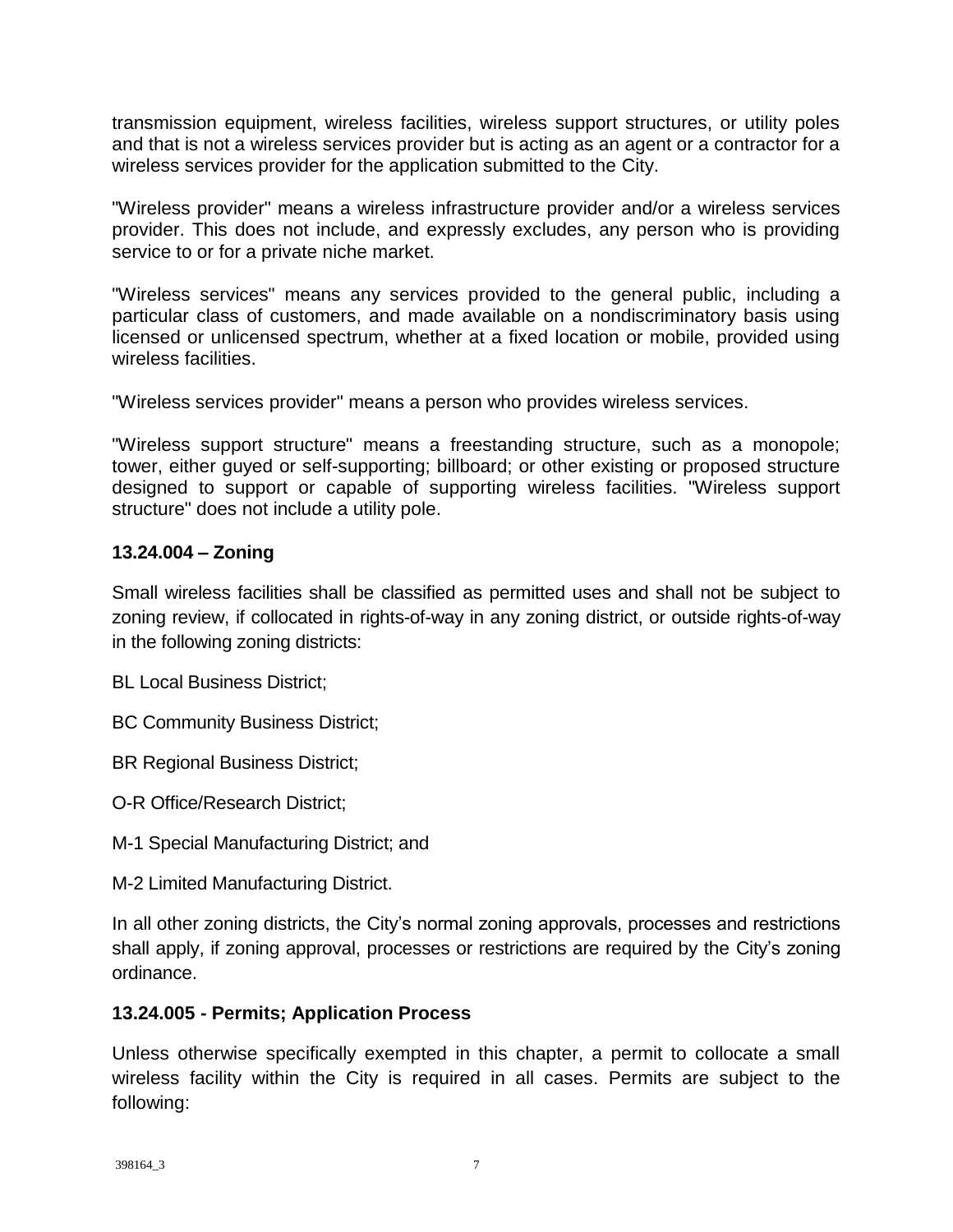transmission equipment, wireless facilities, wireless support structures, or utility poles and that is not a wireless services provider but is acting as an agent or a contractor for a wireless services provider for the application submitted to the City.

"Wireless provider" means a wireless infrastructure provider and/or a wireless services provider. This does not include, and expressly excludes, any person who is providing service to or for a private niche market.

"Wireless services" means any services provided to the general public, including a particular class of customers, and made available on a nondiscriminatory basis using licensed or unlicensed spectrum, whether at a fixed location or mobile, provided using wireless facilities.

"Wireless services provider" means a person who provides wireless services.

"Wireless support structure" means a freestanding structure, such as a monopole; tower, either guyed or self-supporting; billboard; or other existing or proposed structure designed to support or capable of supporting wireless facilities. "Wireless support structure" does not include a utility pole.

### **13.24.004 – Zoning**

Small wireless facilities shall be classified as permitted uses and shall not be subject to zoning review, if collocated in rights-of-way in any zoning district, or outside rights-of-way in the following zoning districts:

BL Local Business District;

BC Community Business District;

BR Regional Business District;

O-R Office/Research District;

- M-1 Special Manufacturing District; and
- M-2 Limited Manufacturing District.

In all other zoning districts, the City's normal zoning approvals, processes and restrictions shall apply, if zoning approval, processes or restrictions are required by the City's zoning ordinance.

### **13.24.005 - Permits; Application Process**

Unless otherwise specifically exempted in this chapter, a permit to collocate a small wireless facility within the City is required in all cases. Permits are subject to the following: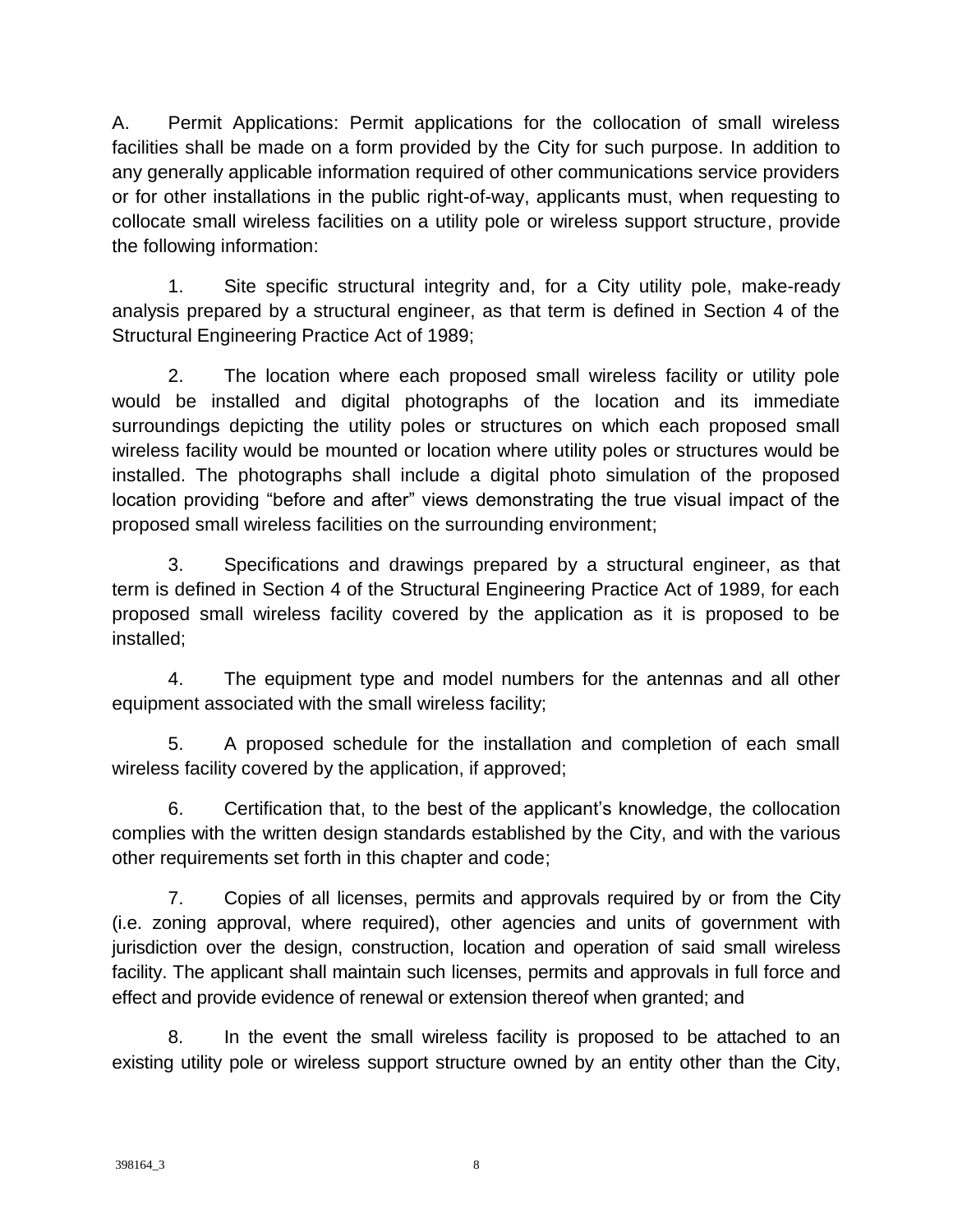A. Permit Applications: Permit applications for the collocation of small wireless facilities shall be made on a form provided by the City for such purpose. In addition to any generally applicable information required of other communications service providers or for other installations in the public right-of-way, applicants must, when requesting to collocate small wireless facilities on a utility pole or wireless support structure, provide the following information:

1. Site specific structural integrity and, for a City utility pole, make-ready analysis prepared by a structural engineer, as that term is defined in Section 4 of the Structural Engineering Practice Act of 1989;

2. The location where each proposed small wireless facility or utility pole would be installed and digital photographs of the location and its immediate surroundings depicting the utility poles or structures on which each proposed small wireless facility would be mounted or location where utility poles or structures would be installed. The photographs shall include a digital photo simulation of the proposed location providing "before and after" views demonstrating the true visual impact of the proposed small wireless facilities on the surrounding environment;

3. Specifications and drawings prepared by a structural engineer, as that term is defined in Section 4 of the Structural Engineering Practice Act of 1989, for each proposed small wireless facility covered by the application as it is proposed to be installed;

4. The equipment type and model numbers for the antennas and all other equipment associated with the small wireless facility;

5. A proposed schedule for the installation and completion of each small wireless facility covered by the application, if approved;

6. Certification that, to the best of the applicant's knowledge, the collocation complies with the written design standards established by the City, and with the various other requirements set forth in this chapter and code;

7. Copies of all licenses, permits and approvals required by or from the City (i.e. zoning approval, where required), other agencies and units of government with jurisdiction over the design, construction, location and operation of said small wireless facility. The applicant shall maintain such licenses, permits and approvals in full force and effect and provide evidence of renewal or extension thereof when granted; and

8. In the event the small wireless facility is proposed to be attached to an existing utility pole or wireless support structure owned by an entity other than the City,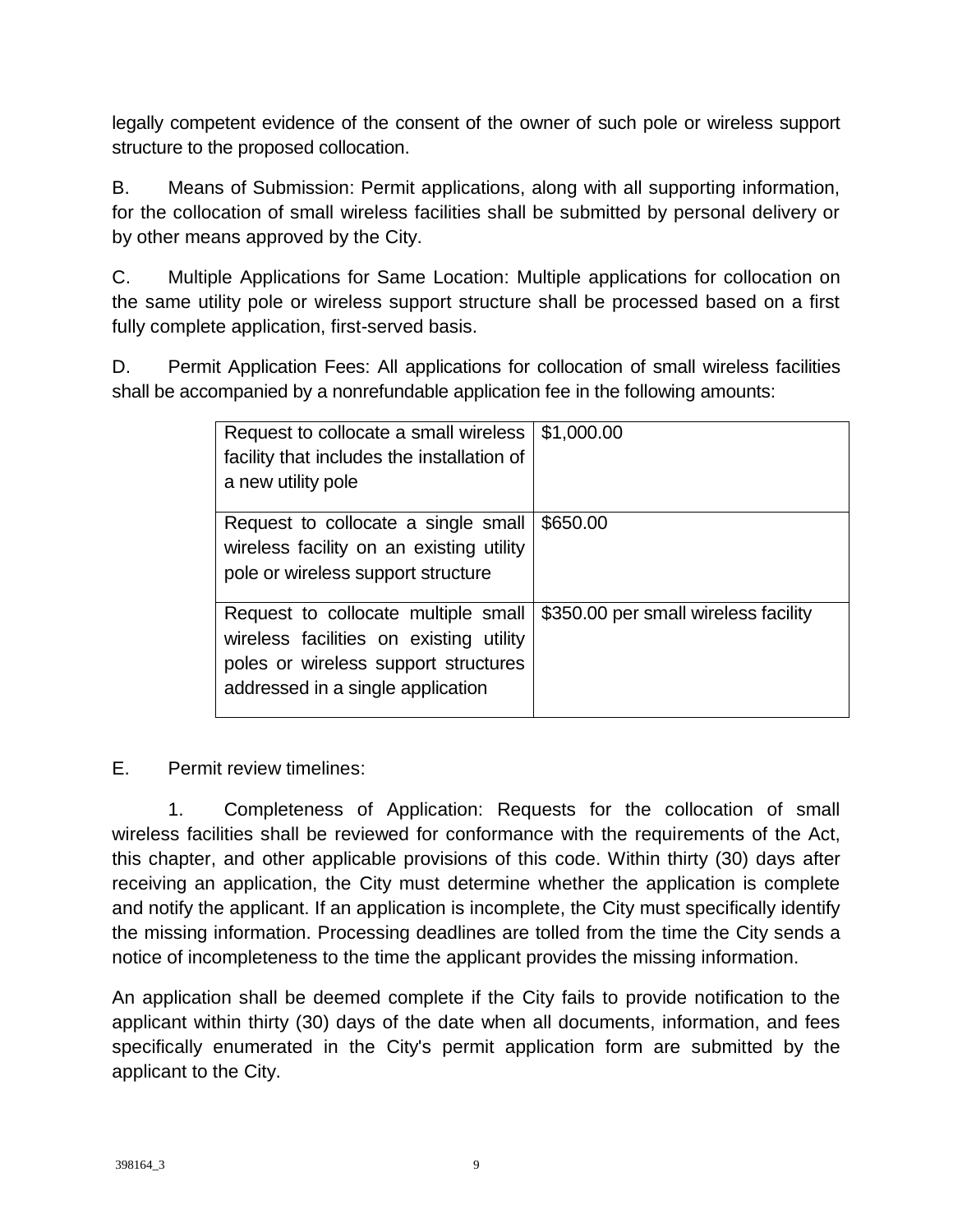legally competent evidence of the consent of the owner of such pole or wireless support structure to the proposed collocation.

B. Means of Submission: Permit applications, along with all supporting information, for the collocation of small wireless facilities shall be submitted by personal delivery or by other means approved by the City.

C. Multiple Applications for Same Location: Multiple applications for collocation on the same utility pole or wireless support structure shall be processed based on a first fully complete application, first-served basis.

D. Permit Application Fees: All applications for collocation of small wireless facilities shall be accompanied by a nonrefundable application fee in the following amounts:

| Request to collocate a small wireless<br>facility that includes the installation of<br>a new utility pole                                                   | \$1,000.00                           |
|-------------------------------------------------------------------------------------------------------------------------------------------------------------|--------------------------------------|
| Request to collocate a single small<br>wireless facility on an existing utility<br>pole or wireless support structure                                       | \$650.00                             |
| Request to collocate multiple small<br>wireless facilities on existing utility<br>poles or wireless support structures<br>addressed in a single application | \$350.00 per small wireless facility |

E. Permit review timelines:

1. Completeness of Application: Requests for the collocation of small wireless facilities shall be reviewed for conformance with the requirements of the Act, this chapter, and other applicable provisions of this code. Within thirty (30) days after receiving an application, the City must determine whether the application is complete and notify the applicant. If an application is incomplete, the City must specifically identify the missing information. Processing deadlines are tolled from the time the City sends a notice of incompleteness to the time the applicant provides the missing information.

An application shall be deemed complete if the City fails to provide notification to the applicant within thirty (30) days of the date when all documents, information, and fees specifically enumerated in the City's permit application form are submitted by the applicant to the City.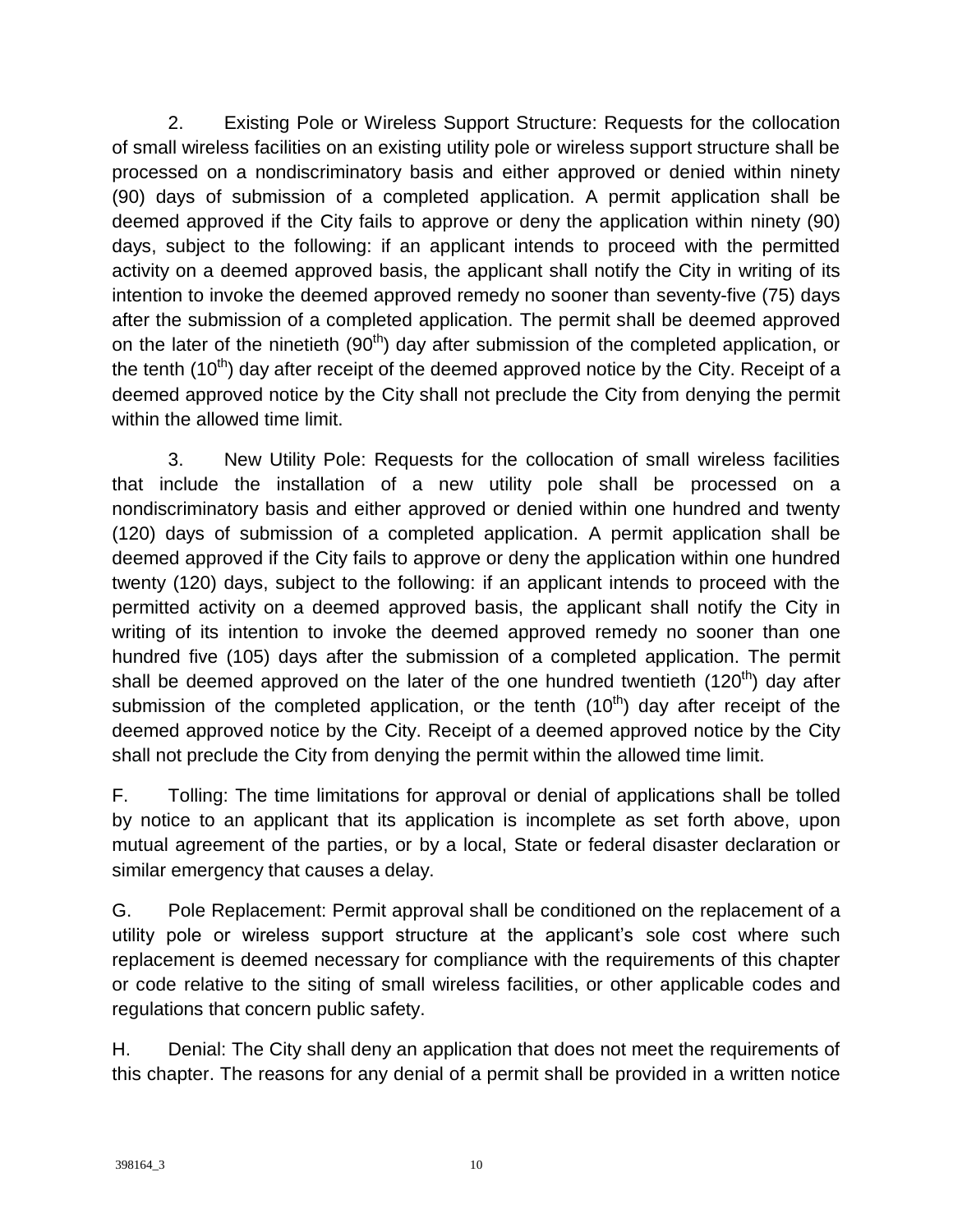2. Existing Pole or Wireless Support Structure: Requests for the collocation of small wireless facilities on an existing utility pole or wireless support structure shall be processed on a nondiscriminatory basis and either approved or denied within ninety (90) days of submission of a completed application. A permit application shall be deemed approved if the City fails to approve or deny the application within ninety (90) days, subject to the following: if an applicant intends to proceed with the permitted activity on a deemed approved basis, the applicant shall notify the City in writing of its intention to invoke the deemed approved remedy no sooner than seventy-five (75) days after the submission of a completed application. The permit shall be deemed approved on the later of the ninetieth  $(90<sup>th</sup>)$  day after submission of the completed application, or the tenth  $(10<sup>th</sup>)$  day after receipt of the deemed approved notice by the City. Receipt of a deemed approved notice by the City shall not preclude the City from denying the permit within the allowed time limit.

3. New Utility Pole: Requests for the collocation of small wireless facilities that include the installation of a new utility pole shall be processed on a nondiscriminatory basis and either approved or denied within one hundred and twenty (120) days of submission of a completed application. A permit application shall be deemed approved if the City fails to approve or deny the application within one hundred twenty (120) days, subject to the following: if an applicant intends to proceed with the permitted activity on a deemed approved basis, the applicant shall notify the City in writing of its intention to invoke the deemed approved remedy no sooner than one hundred five (105) days after the submission of a completed application. The permit shall be deemed approved on the later of the one hundred twentieth  $(120<sup>th</sup>)$  day after submission of the completed application, or the tenth  $(10<sup>th</sup>)$  day after receipt of the deemed approved notice by the City. Receipt of a deemed approved notice by the City shall not preclude the City from denying the permit within the allowed time limit.

F. Tolling: The time limitations for approval or denial of applications shall be tolled by notice to an applicant that its application is incomplete as set forth above, upon mutual agreement of the parties, or by a local, State or federal disaster declaration or similar emergency that causes a delay.

G. Pole Replacement: Permit approval shall be conditioned on the replacement of a utility pole or wireless support structure at the applicant's sole cost where such replacement is deemed necessary for compliance with the requirements of this chapter or code relative to the siting of small wireless facilities, or other applicable codes and regulations that concern public safety.

H. Denial: The City shall deny an application that does not meet the requirements of this chapter. The reasons for any denial of a permit shall be provided in a written notice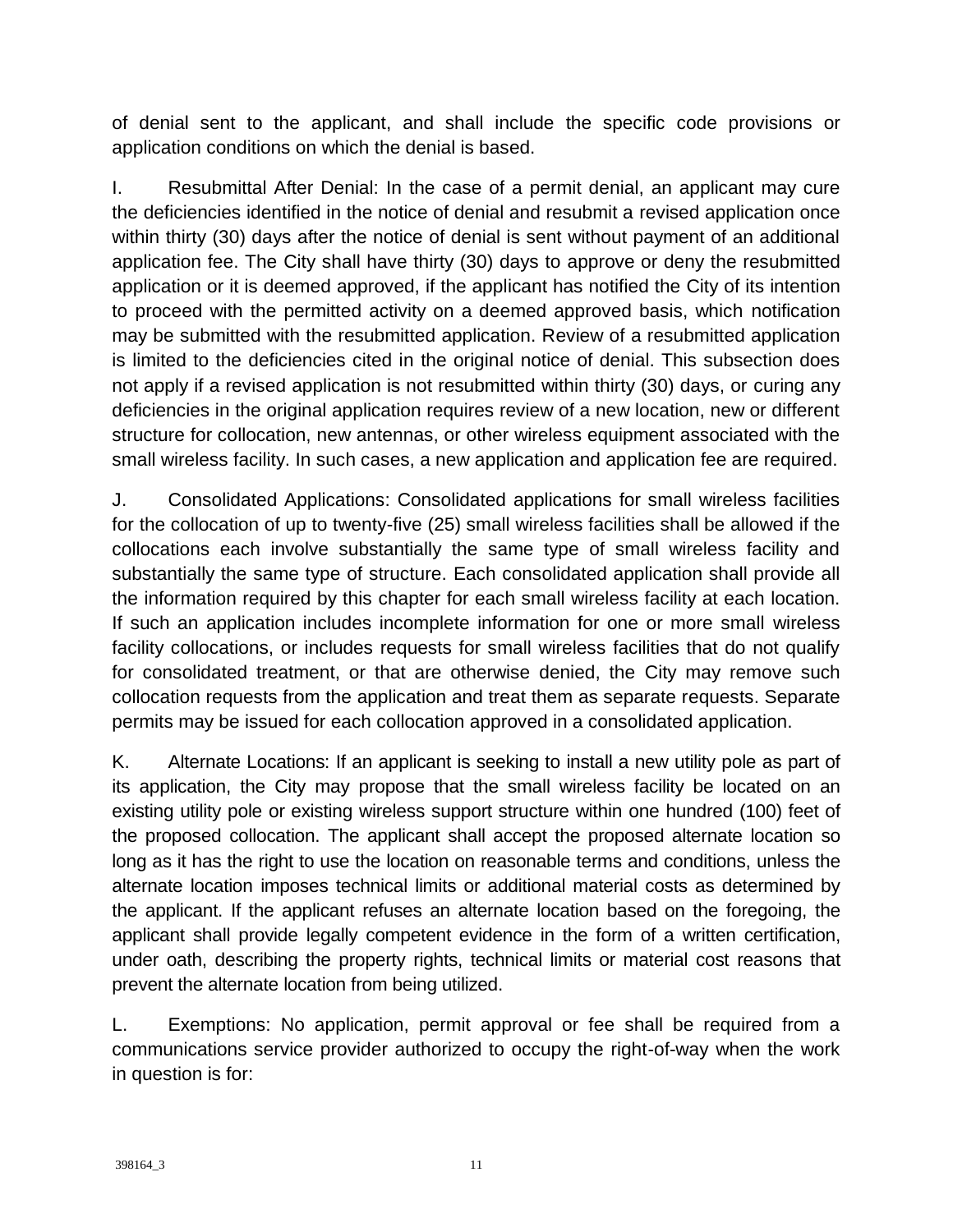of denial sent to the applicant, and shall include the specific code provisions or application conditions on which the denial is based.

I. Resubmittal After Denial: In the case of a permit denial, an applicant may cure the deficiencies identified in the notice of denial and resubmit a revised application once within thirty (30) days after the notice of denial is sent without payment of an additional application fee. The City shall have thirty (30) days to approve or deny the resubmitted application or it is deemed approved, if the applicant has notified the City of its intention to proceed with the permitted activity on a deemed approved basis, which notification may be submitted with the resubmitted application. Review of a resubmitted application is limited to the deficiencies cited in the original notice of denial. This subsection does not apply if a revised application is not resubmitted within thirty (30) days, or curing any deficiencies in the original application requires review of a new location, new or different structure for collocation, new antennas, or other wireless equipment associated with the small wireless facility. In such cases, a new application and application fee are required.

J. Consolidated Applications: Consolidated applications for small wireless facilities for the collocation of up to twenty-five (25) small wireless facilities shall be allowed if the collocations each involve substantially the same type of small wireless facility and substantially the same type of structure. Each consolidated application shall provide all the information required by this chapter for each small wireless facility at each location. If such an application includes incomplete information for one or more small wireless facility collocations, or includes requests for small wireless facilities that do not qualify for consolidated treatment, or that are otherwise denied, the City may remove such collocation requests from the application and treat them as separate requests. Separate permits may be issued for each collocation approved in a consolidated application.

K. Alternate Locations: If an applicant is seeking to install a new utility pole as part of its application, the City may propose that the small wireless facility be located on an existing utility pole or existing wireless support structure within one hundred (100) feet of the proposed collocation. The applicant shall accept the proposed alternate location so long as it has the right to use the location on reasonable terms and conditions, unless the alternate location imposes technical limits or additional material costs as determined by the applicant. If the applicant refuses an alternate location based on the foregoing, the applicant shall provide legally competent evidence in the form of a written certification, under oath, describing the property rights, technical limits or material cost reasons that prevent the alternate location from being utilized.

L. Exemptions: No application, permit approval or fee shall be required from a communications service provider authorized to occupy the right-of-way when the work in question is for: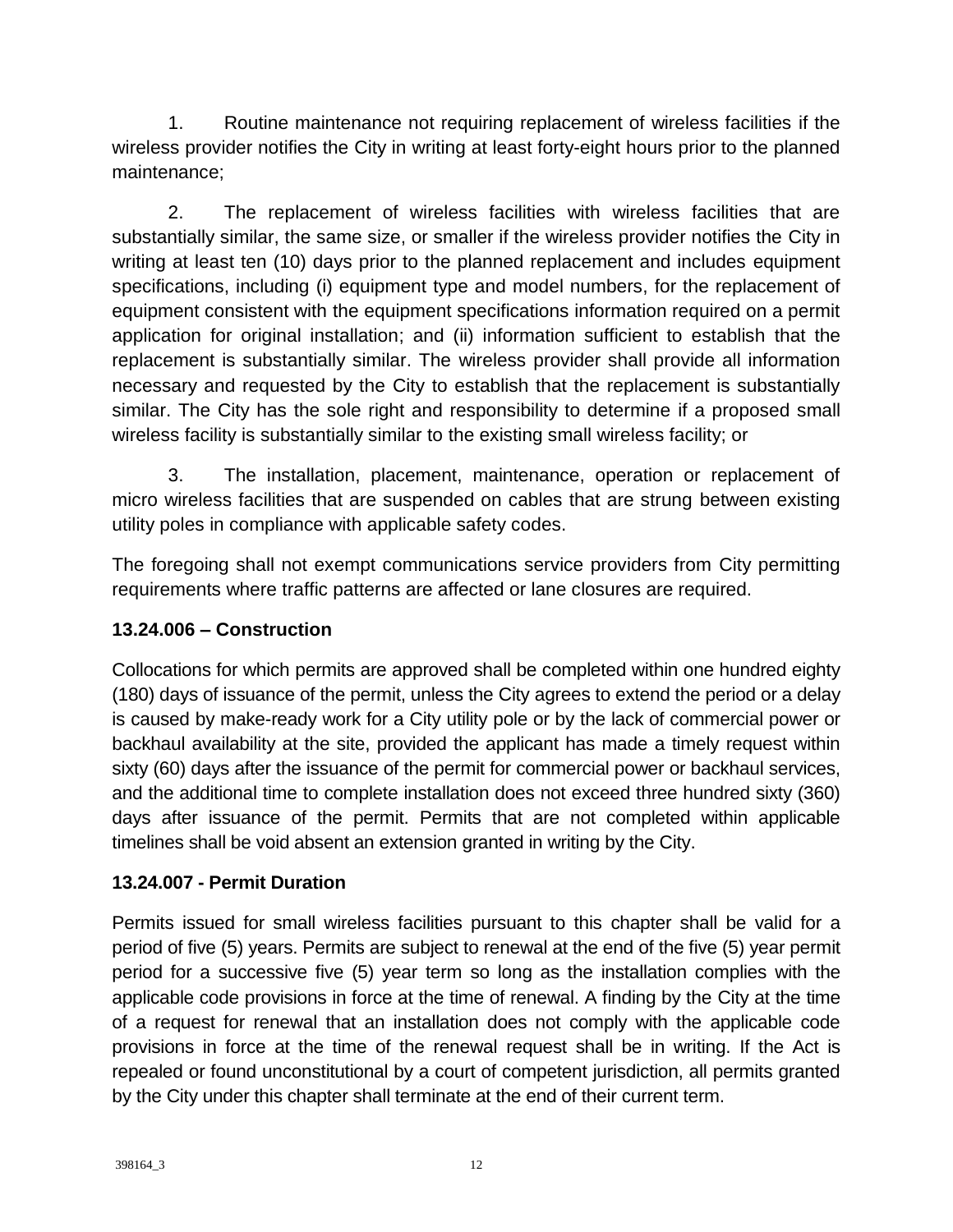1. Routine maintenance not requiring replacement of wireless facilities if the wireless provider notifies the City in writing at least forty-eight hours prior to the planned maintenance;

2. The replacement of wireless facilities with wireless facilities that are substantially similar, the same size, or smaller if the wireless provider notifies the City in writing at least ten (10) days prior to the planned replacement and includes equipment specifications, including (i) equipment type and model numbers, for the replacement of equipment consistent with the equipment specifications information required on a permit application for original installation; and (ii) information sufficient to establish that the replacement is substantially similar. The wireless provider shall provide all information necessary and requested by the City to establish that the replacement is substantially similar. The City has the sole right and responsibility to determine if a proposed small wireless facility is substantially similar to the existing small wireless facility; or

3. The installation, placement, maintenance, operation or replacement of micro wireless facilities that are suspended on cables that are strung between existing utility poles in compliance with applicable safety codes.

The foregoing shall not exempt communications service providers from City permitting requirements where traffic patterns are affected or lane closures are required.

## **13.24.006 – Construction**

Collocations for which permits are approved shall be completed within one hundred eighty (180) days of issuance of the permit, unless the City agrees to extend the period or a delay is caused by make-ready work for a City utility pole or by the lack of commercial power or backhaul availability at the site, provided the applicant has made a timely request within sixty (60) days after the issuance of the permit for commercial power or backhaul services, and the additional time to complete installation does not exceed three hundred sixty (360) days after issuance of the permit. Permits that are not completed within applicable timelines shall be void absent an extension granted in writing by the City.

### **13.24.007 - Permit Duration**

Permits issued for small wireless facilities pursuant to this chapter shall be valid for a period of five (5) years. Permits are subject to renewal at the end of the five (5) year permit period for a successive five (5) year term so long as the installation complies with the applicable code provisions in force at the time of renewal. A finding by the City at the time of a request for renewal that an installation does not comply with the applicable code provisions in force at the time of the renewal request shall be in writing. If the Act is repealed or found unconstitutional by a court of competent jurisdiction, all permits granted by the City under this chapter shall terminate at the end of their current term.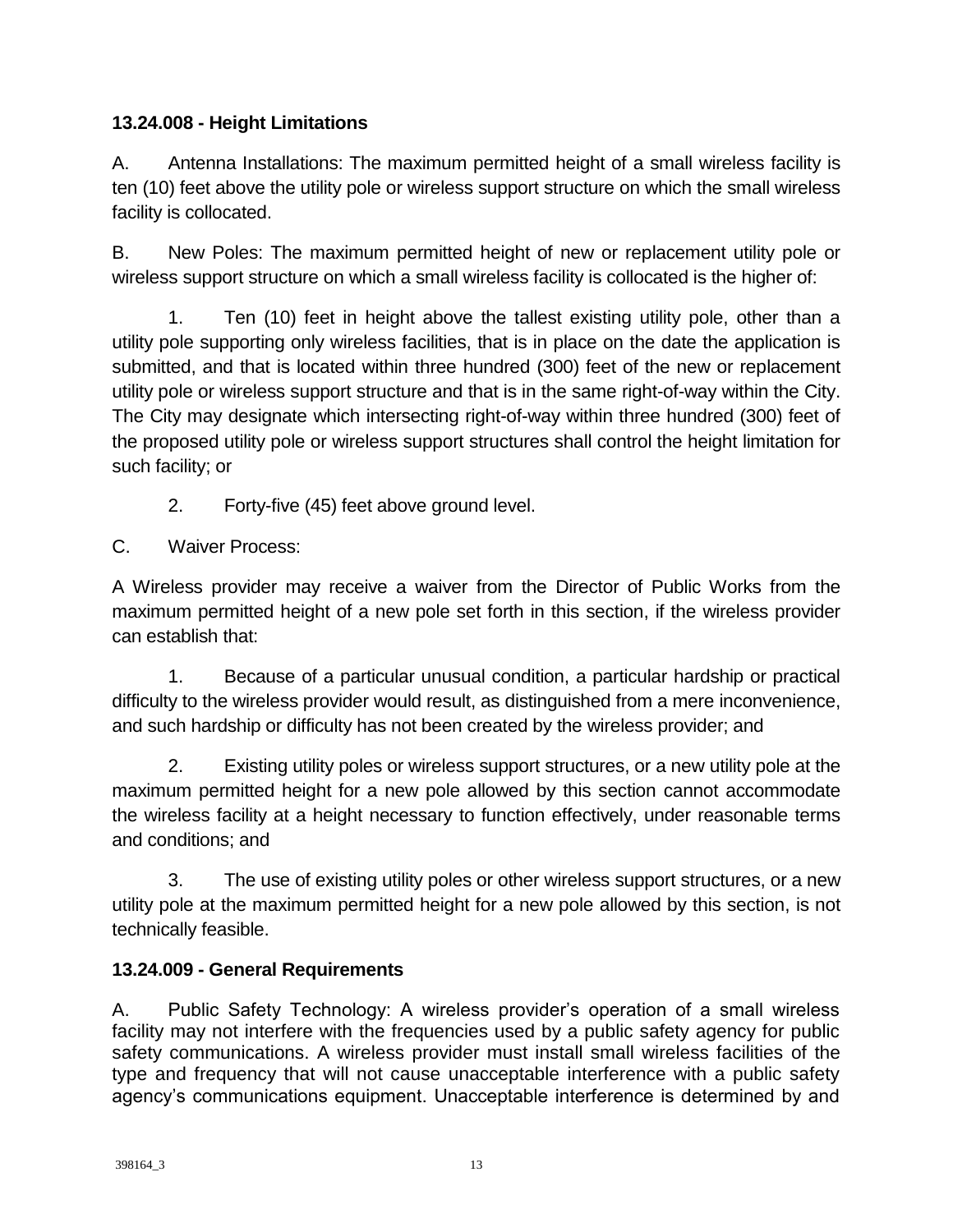## **13.24.008 - Height Limitations**

A. Antenna Installations: The maximum permitted height of a small wireless facility is ten (10) feet above the utility pole or wireless support structure on which the small wireless facility is collocated.

B. New Poles: The maximum permitted height of new or replacement utility pole or wireless support structure on which a small wireless facility is collocated is the higher of:

1. Ten (10) feet in height above the tallest existing utility pole, other than a utility pole supporting only wireless facilities, that is in place on the date the application is submitted, and that is located within three hundred (300) feet of the new or replacement utility pole or wireless support structure and that is in the same right-of-way within the City. The City may designate which intersecting right-of-way within three hundred (300) feet of the proposed utility pole or wireless support structures shall control the height limitation for such facility; or

- 2. Forty-five (45) feet above ground level.
- C. Waiver Process:

A Wireless provider may receive a waiver from the Director of Public Works from the maximum permitted height of a new pole set forth in this section, if the wireless provider can establish that:

1. Because of a particular unusual condition, a particular hardship or practical difficulty to the wireless provider would result, as distinguished from a mere inconvenience, and such hardship or difficulty has not been created by the wireless provider; and

2. Existing utility poles or wireless support structures, or a new utility pole at the maximum permitted height for a new pole allowed by this section cannot accommodate the wireless facility at a height necessary to function effectively, under reasonable terms and conditions; and

3. The use of existing utility poles or other wireless support structures, or a new utility pole at the maximum permitted height for a new pole allowed by this section, is not technically feasible.

## **13.24.009 - General Requirements**

A. Public Safety Technology: A wireless provider's operation of a small wireless facility may not interfere with the frequencies used by a public safety agency for public safety communications. A wireless provider must install small wireless facilities of the type and frequency that will not cause unacceptable interference with a public safety agency's communications equipment. Unacceptable interference is determined by and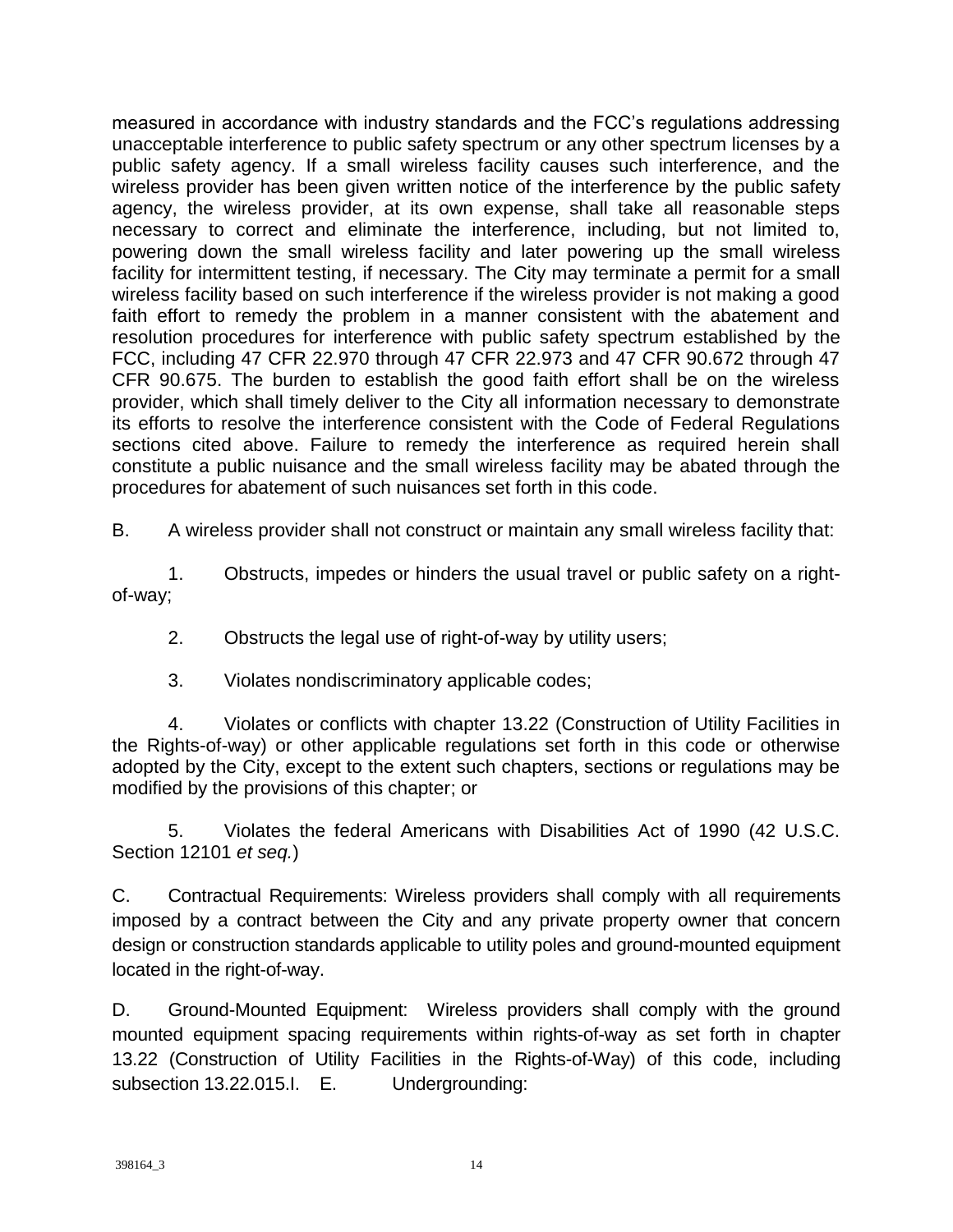measured in accordance with industry standards and the FCC's regulations addressing unacceptable interference to public safety spectrum or any other spectrum licenses by a public safety agency. If a small wireless facility causes such interference, and the wireless provider has been given written notice of the interference by the public safety agency, the wireless provider, at its own expense, shall take all reasonable steps necessary to correct and eliminate the interference, including, but not limited to, powering down the small wireless facility and later powering up the small wireless facility for intermittent testing, if necessary. The City may terminate a permit for a small wireless facility based on such interference if the wireless provider is not making a good faith effort to remedy the problem in a manner consistent with the abatement and resolution procedures for interference with public safety spectrum established by the FCC, including 47 CFR 22.970 through 47 CFR 22.973 and 47 CFR 90.672 through 47 CFR 90.675. The burden to establish the good faith effort shall be on the wireless provider, which shall timely deliver to the City all information necessary to demonstrate its efforts to resolve the interference consistent with the Code of Federal Regulations sections cited above. Failure to remedy the interference as required herein shall constitute a public nuisance and the small wireless facility may be abated through the procedures for abatement of such nuisances set forth in this code.

B. A wireless provider shall not construct or maintain any small wireless facility that:

1. Obstructs, impedes or hinders the usual travel or public safety on a rightof-way;

2. Obstructs the legal use of right-of-way by utility users;

3. Violates nondiscriminatory applicable codes;

4. Violates or conflicts with chapter 13.22 (Construction of Utility Facilities in the Rights-of-way) or other applicable regulations set forth in this code or otherwise adopted by the City, except to the extent such chapters, sections or regulations may be modified by the provisions of this chapter; or

5. Violates the federal Americans with Disabilities Act of 1990 (42 U.S.C. Section 12101 *et seq.*)

C. Contractual Requirements: Wireless providers shall comply with all requirements imposed by a contract between the City and any private property owner that concern design or construction standards applicable to utility poles and ground-mounted equipment located in the right-of-way.

D. Ground-Mounted Equipment: Wireless providers shall comply with the ground mounted equipment spacing requirements within rights-of-way as set forth in chapter 13.22 (Construction of Utility Facilities in the Rights-of-Way) of this code, including subsection 13.22.015.I. E. Undergrounding: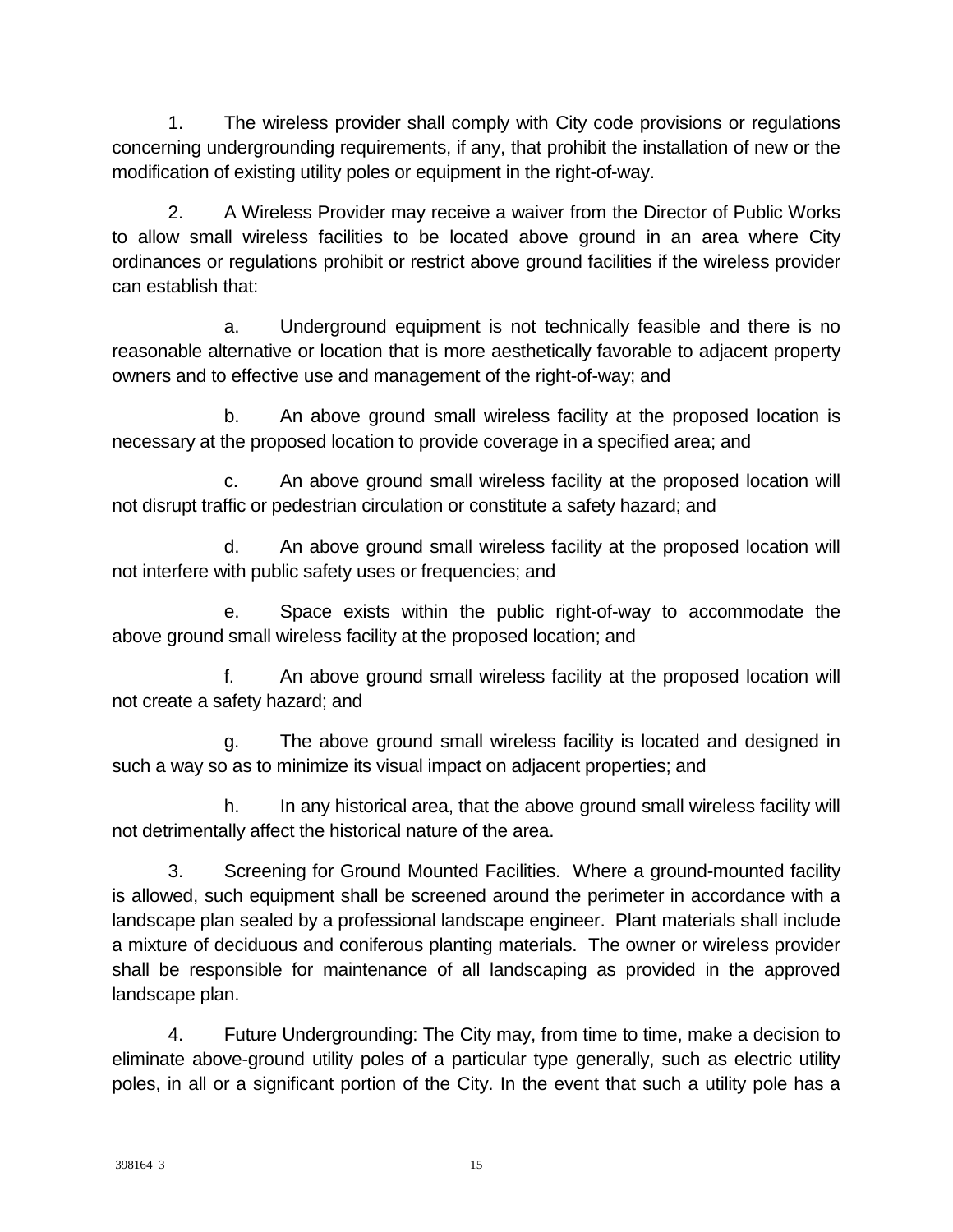1. The wireless provider shall comply with City code provisions or regulations concerning undergrounding requirements, if any, that prohibit the installation of new or the modification of existing utility poles or equipment in the right-of-way.

2. A Wireless Provider may receive a waiver from the Director of Public Works to allow small wireless facilities to be located above ground in an area where City ordinances or regulations prohibit or restrict above ground facilities if the wireless provider can establish that:

a. Underground equipment is not technically feasible and there is no reasonable alternative or location that is more aesthetically favorable to adjacent property owners and to effective use and management of the right-of-way; and

b. An above ground small wireless facility at the proposed location is necessary at the proposed location to provide coverage in a specified area; and

c. An above ground small wireless facility at the proposed location will not disrupt traffic or pedestrian circulation or constitute a safety hazard; and

d. An above ground small wireless facility at the proposed location will not interfere with public safety uses or frequencies; and

e. Space exists within the public right-of-way to accommodate the above ground small wireless facility at the proposed location; and

f. An above ground small wireless facility at the proposed location will not create a safety hazard; and

g. The above ground small wireless facility is located and designed in such a way so as to minimize its visual impact on adjacent properties; and

h. In any historical area, that the above ground small wireless facility will not detrimentally affect the historical nature of the area.

3. Screening for Ground Mounted Facilities. Where a ground-mounted facility is allowed, such equipment shall be screened around the perimeter in accordance with a landscape plan sealed by a professional landscape engineer. Plant materials shall include a mixture of deciduous and coniferous planting materials. The owner or wireless provider shall be responsible for maintenance of all landscaping as provided in the approved landscape plan.

4. Future Undergrounding: The City may, from time to time, make a decision to eliminate above-ground utility poles of a particular type generally, such as electric utility poles, in all or a significant portion of the City. In the event that such a utility pole has a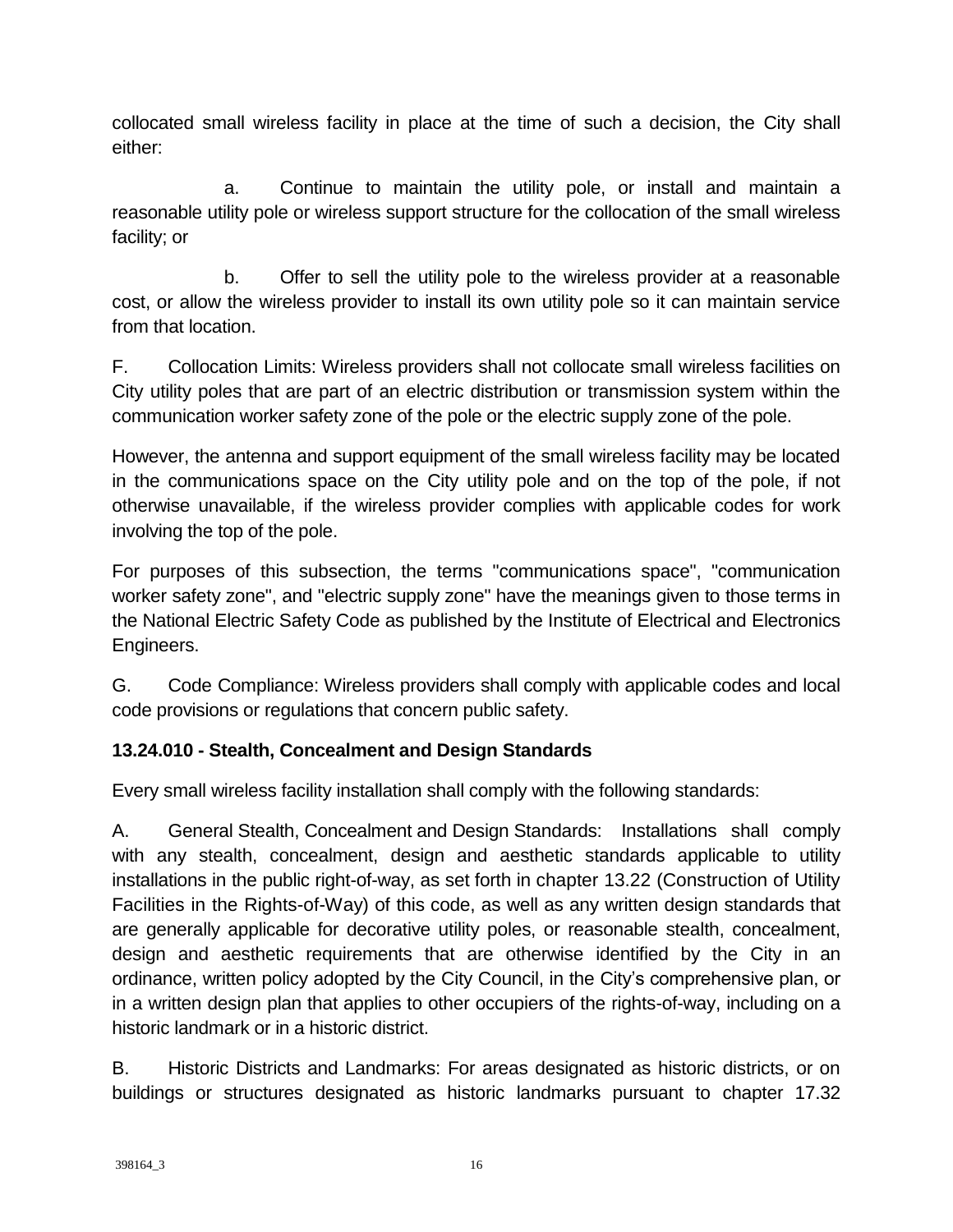collocated small wireless facility in place at the time of such a decision, the City shall either:

a. Continue to maintain the utility pole, or install and maintain a reasonable utility pole or wireless support structure for the collocation of the small wireless facility; or

b. Offer to sell the utility pole to the wireless provider at a reasonable cost, or allow the wireless provider to install its own utility pole so it can maintain service from that location.

F. Collocation Limits: Wireless providers shall not collocate small wireless facilities on City utility poles that are part of an electric distribution or transmission system within the communication worker safety zone of the pole or the electric supply zone of the pole.

However, the antenna and support equipment of the small wireless facility may be located in the communications space on the City utility pole and on the top of the pole, if not otherwise unavailable, if the wireless provider complies with applicable codes for work involving the top of the pole.

For purposes of this subsection, the terms "communications space", "communication worker safety zone", and "electric supply zone" have the meanings given to those terms in the National Electric Safety Code as published by the Institute of Electrical and Electronics Engineers.

G. Code Compliance: Wireless providers shall comply with applicable codes and local code provisions or regulations that concern public safety.

## **13.24.010 - Stealth, Concealment and Design Standards**

Every small wireless facility installation shall comply with the following standards:

A. General Stealth, Concealment and Design Standards: Installations shall comply with any stealth, concealment, design and aesthetic standards applicable to utility installations in the public right-of-way, as set forth in chapter 13.22 (Construction of Utility Facilities in the Rights-of-Way) of this code, as well as any written design standards that are generally applicable for decorative utility poles, or reasonable stealth, concealment, design and aesthetic requirements that are otherwise identified by the City in an ordinance, written policy adopted by the City Council, in the City's comprehensive plan, or in a written design plan that applies to other occupiers of the rights-of-way, including on a historic landmark or in a historic district.

B. Historic Districts and Landmarks: For areas designated as historic districts, or on buildings or structures designated as historic landmarks pursuant to chapter 17.32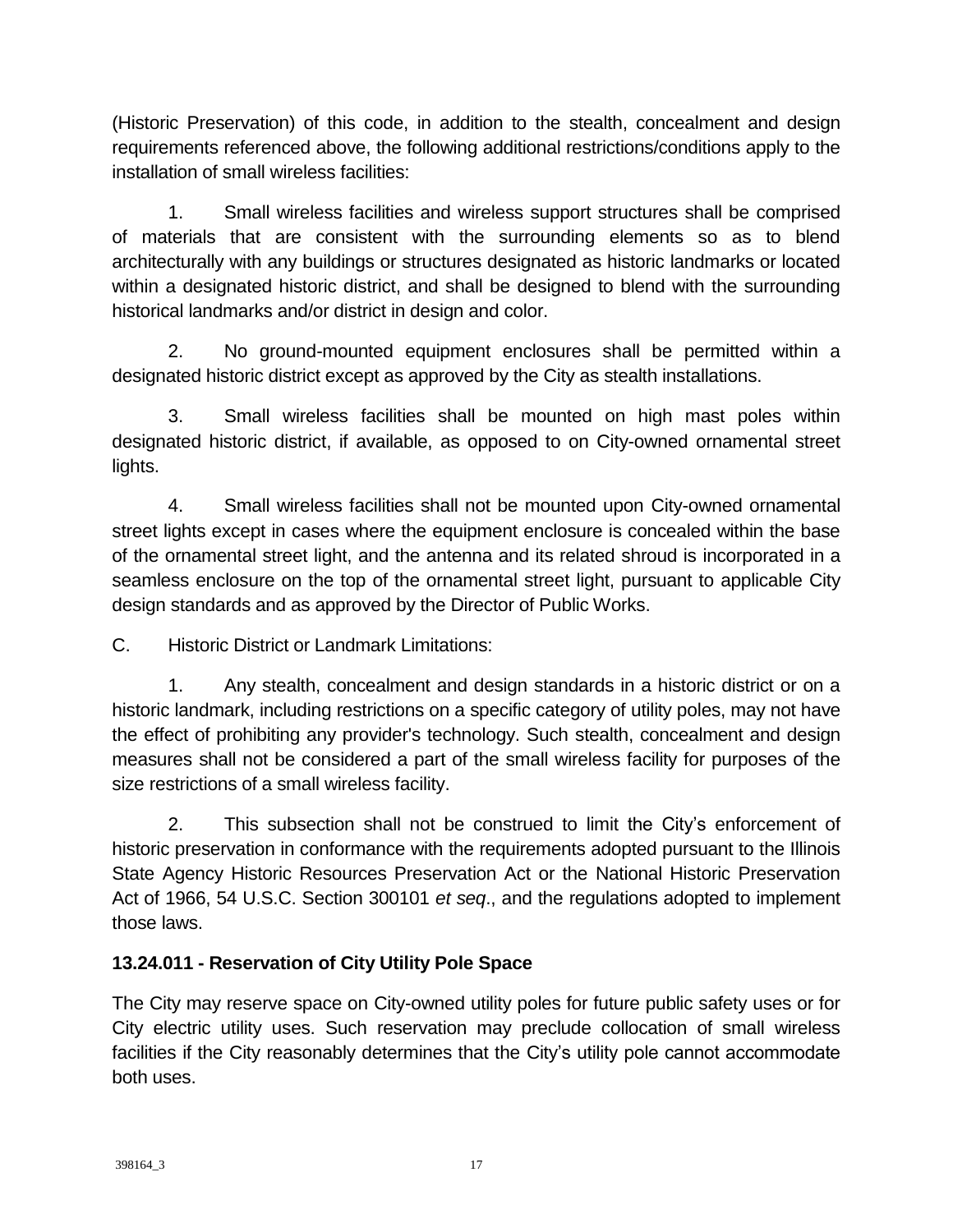(Historic Preservation) of this code, in addition to the stealth, concealment and design requirements referenced above, the following additional restrictions/conditions apply to the installation of small wireless facilities:

1. Small wireless facilities and wireless support structures shall be comprised of materials that are consistent with the surrounding elements so as to blend architecturally with any buildings or structures designated as historic landmarks or located within a designated historic district, and shall be designed to blend with the surrounding historical landmarks and/or district in design and color.

2. No ground-mounted equipment enclosures shall be permitted within a designated historic district except as approved by the City as stealth installations.

3. Small wireless facilities shall be mounted on high mast poles within designated historic district, if available, as opposed to on City-owned ornamental street lights.

4. Small wireless facilities shall not be mounted upon City-owned ornamental street lights except in cases where the equipment enclosure is concealed within the base of the ornamental street light, and the antenna and its related shroud is incorporated in a seamless enclosure on the top of the ornamental street light, pursuant to applicable City design standards and as approved by the Director of Public Works.

C. Historic District or Landmark Limitations:

1. Any stealth, concealment and design standards in a historic district or on a historic landmark, including restrictions on a specific category of utility poles, may not have the effect of prohibiting any provider's technology. Such stealth, concealment and design measures shall not be considered a part of the small wireless facility for purposes of the size restrictions of a small wireless facility.

2. This subsection shall not be construed to limit the City's enforcement of historic preservation in conformance with the requirements adopted pursuant to the Illinois State Agency Historic Resources Preservation Act or the National Historic Preservation Act of 1966, 54 U.S.C. Section 300101 *et seq*., and the regulations adopted to implement those laws.

# **13.24.011 - Reservation of City Utility Pole Space**

The City may reserve space on City-owned utility poles for future public safety uses or for City electric utility uses. Such reservation may preclude collocation of small wireless facilities if the City reasonably determines that the City's utility pole cannot accommodate both uses.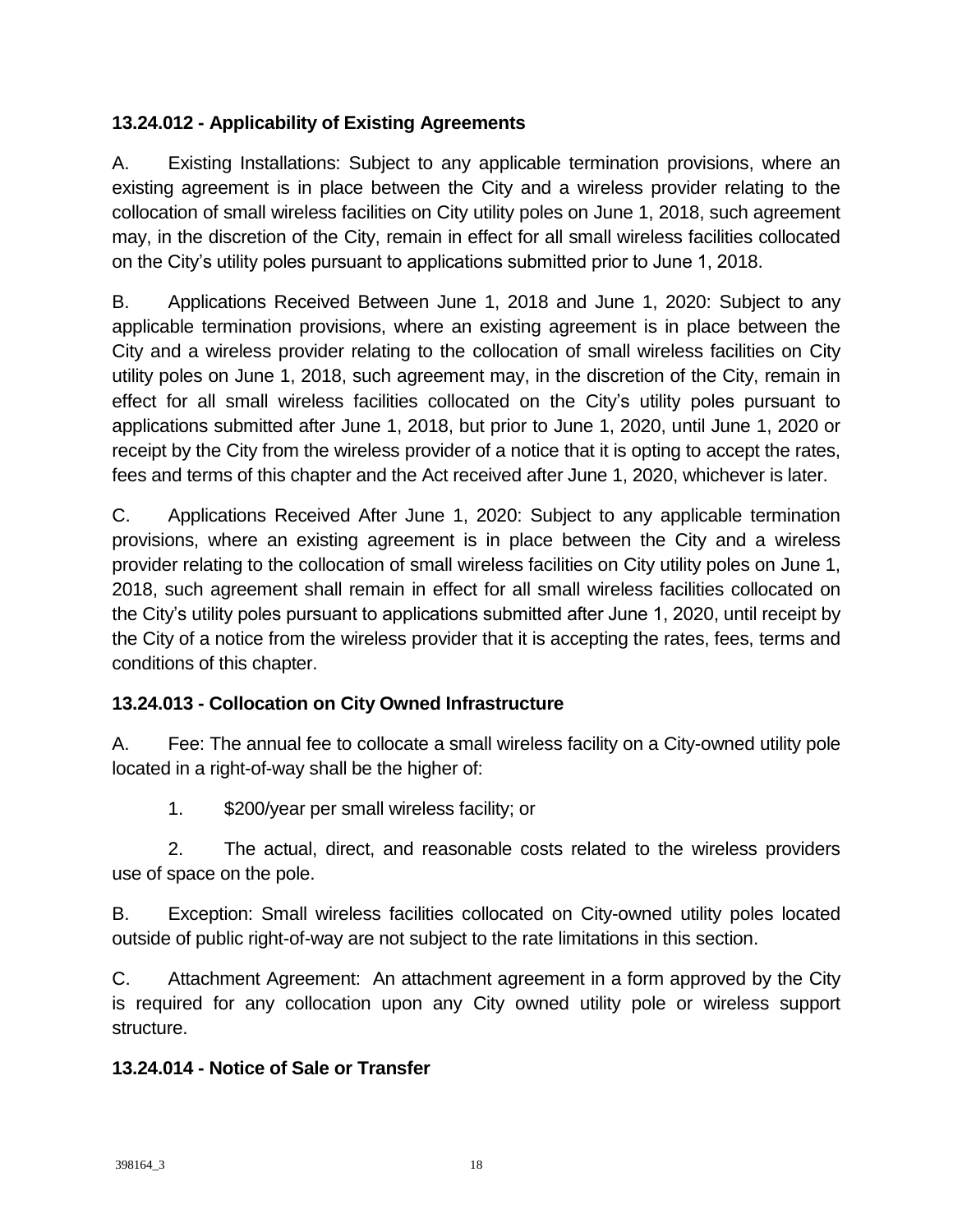### **13.24.012 - Applicability of Existing Agreements**

A. Existing Installations: Subject to any applicable termination provisions, where an existing agreement is in place between the City and a wireless provider relating to the collocation of small wireless facilities on City utility poles on June 1, 2018, such agreement may, in the discretion of the City, remain in effect for all small wireless facilities collocated on the City's utility poles pursuant to applications submitted prior to June 1, 2018.

B. Applications Received Between June 1, 2018 and June 1, 2020: Subject to any applicable termination provisions, where an existing agreement is in place between the City and a wireless provider relating to the collocation of small wireless facilities on City utility poles on June 1, 2018, such agreement may, in the discretion of the City, remain in effect for all small wireless facilities collocated on the City's utility poles pursuant to applications submitted after June 1, 2018, but prior to June 1, 2020, until June 1, 2020 or receipt by the City from the wireless provider of a notice that it is opting to accept the rates, fees and terms of this chapter and the Act received after June 1, 2020, whichever is later.

C. Applications Received After June 1, 2020: Subject to any applicable termination provisions, where an existing agreement is in place between the City and a wireless provider relating to the collocation of small wireless facilities on City utility poles on June 1, 2018, such agreement shall remain in effect for all small wireless facilities collocated on the City's utility poles pursuant to applications submitted after June 1, 2020, until receipt by the City of a notice from the wireless provider that it is accepting the rates, fees, terms and conditions of this chapter.

## **13.24.013 - Collocation on City Owned Infrastructure**

A. Fee: The annual fee to collocate a small wireless facility on a City-owned utility pole located in a right-of-way shall be the higher of:

1. \$200/year per small wireless facility; or

2. The actual, direct, and reasonable costs related to the wireless providers use of space on the pole.

B. Exception: Small wireless facilities collocated on City-owned utility poles located outside of public right-of-way are not subject to the rate limitations in this section.

C. Attachment Agreement: An attachment agreement in a form approved by the City is required for any collocation upon any City owned utility pole or wireless support structure.

### **13.24.014 - Notice of Sale or Transfer**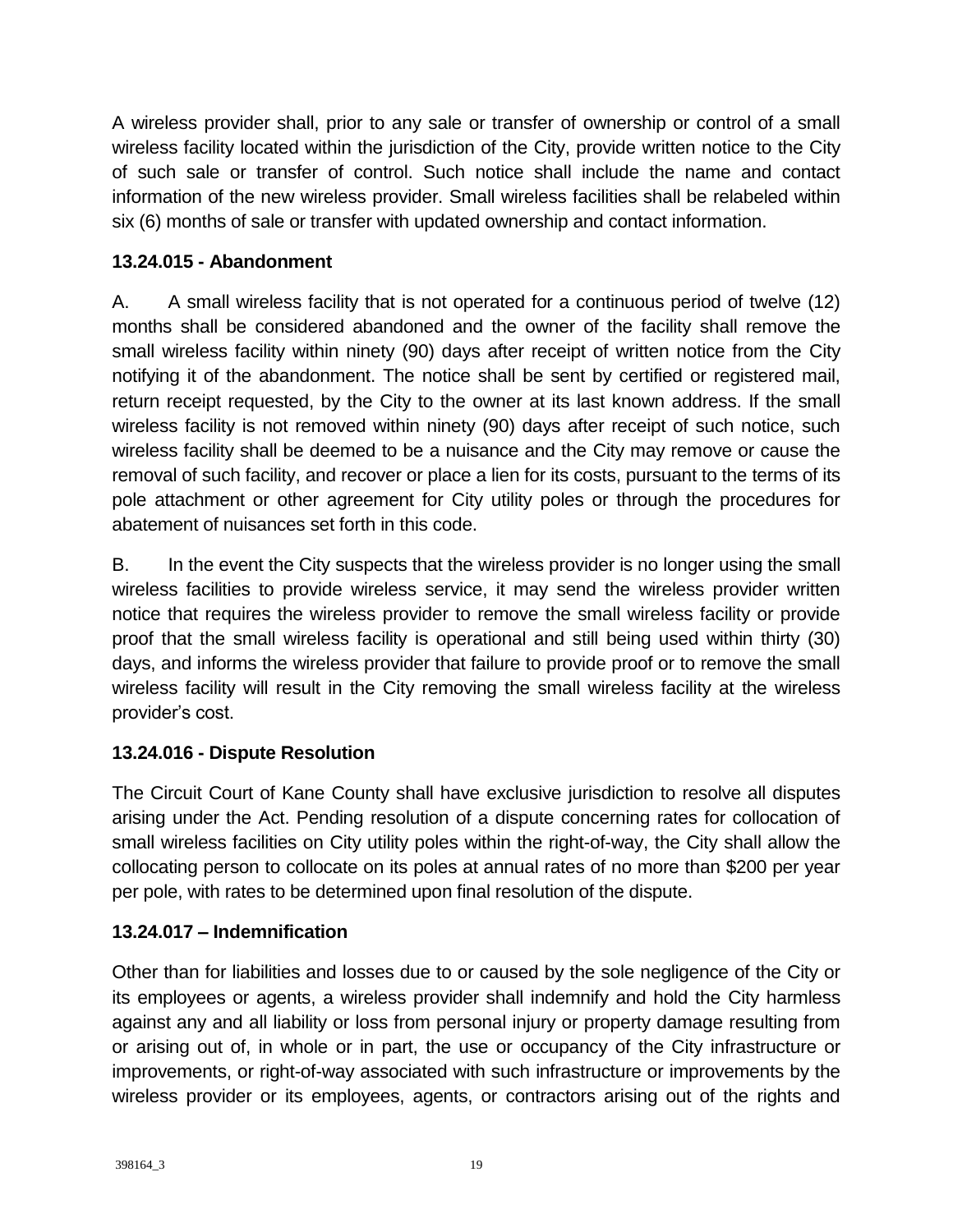A wireless provider shall, prior to any sale or transfer of ownership or control of a small wireless facility located within the jurisdiction of the City, provide written notice to the City of such sale or transfer of control. Such notice shall include the name and contact information of the new wireless provider. Small wireless facilities shall be relabeled within six (6) months of sale or transfer with updated ownership and contact information.

### **13.24.015 - Abandonment**

A. A small wireless facility that is not operated for a continuous period of twelve (12) months shall be considered abandoned and the owner of the facility shall remove the small wireless facility within ninety (90) days after receipt of written notice from the City notifying it of the abandonment. The notice shall be sent by certified or registered mail, return receipt requested, by the City to the owner at its last known address. If the small wireless facility is not removed within ninety (90) days after receipt of such notice, such wireless facility shall be deemed to be a nuisance and the City may remove or cause the removal of such facility, and recover or place a lien for its costs, pursuant to the terms of its pole attachment or other agreement for City utility poles or through the procedures for abatement of nuisances set forth in this code.

B. In the event the City suspects that the wireless provider is no longer using the small wireless facilities to provide wireless service, it may send the wireless provider written notice that requires the wireless provider to remove the small wireless facility or provide proof that the small wireless facility is operational and still being used within thirty (30) days, and informs the wireless provider that failure to provide proof or to remove the small wireless facility will result in the City removing the small wireless facility at the wireless provider's cost.

## **13.24.016 - Dispute Resolution**

The Circuit Court of Kane County shall have exclusive jurisdiction to resolve all disputes arising under the Act. Pending resolution of a dispute concerning rates for collocation of small wireless facilities on City utility poles within the right-of-way, the City shall allow the collocating person to collocate on its poles at annual rates of no more than \$200 per year per pole, with rates to be determined upon final resolution of the dispute.

## **13.24.017 – Indemnification**

Other than for liabilities and losses due to or caused by the sole negligence of the City or its employees or agents, a wireless provider shall indemnify and hold the City harmless against any and all liability or loss from personal injury or property damage resulting from or arising out of, in whole or in part, the use or occupancy of the City infrastructure or improvements, or right-of-way associated with such infrastructure or improvements by the wireless provider or its employees, agents, or contractors arising out of the rights and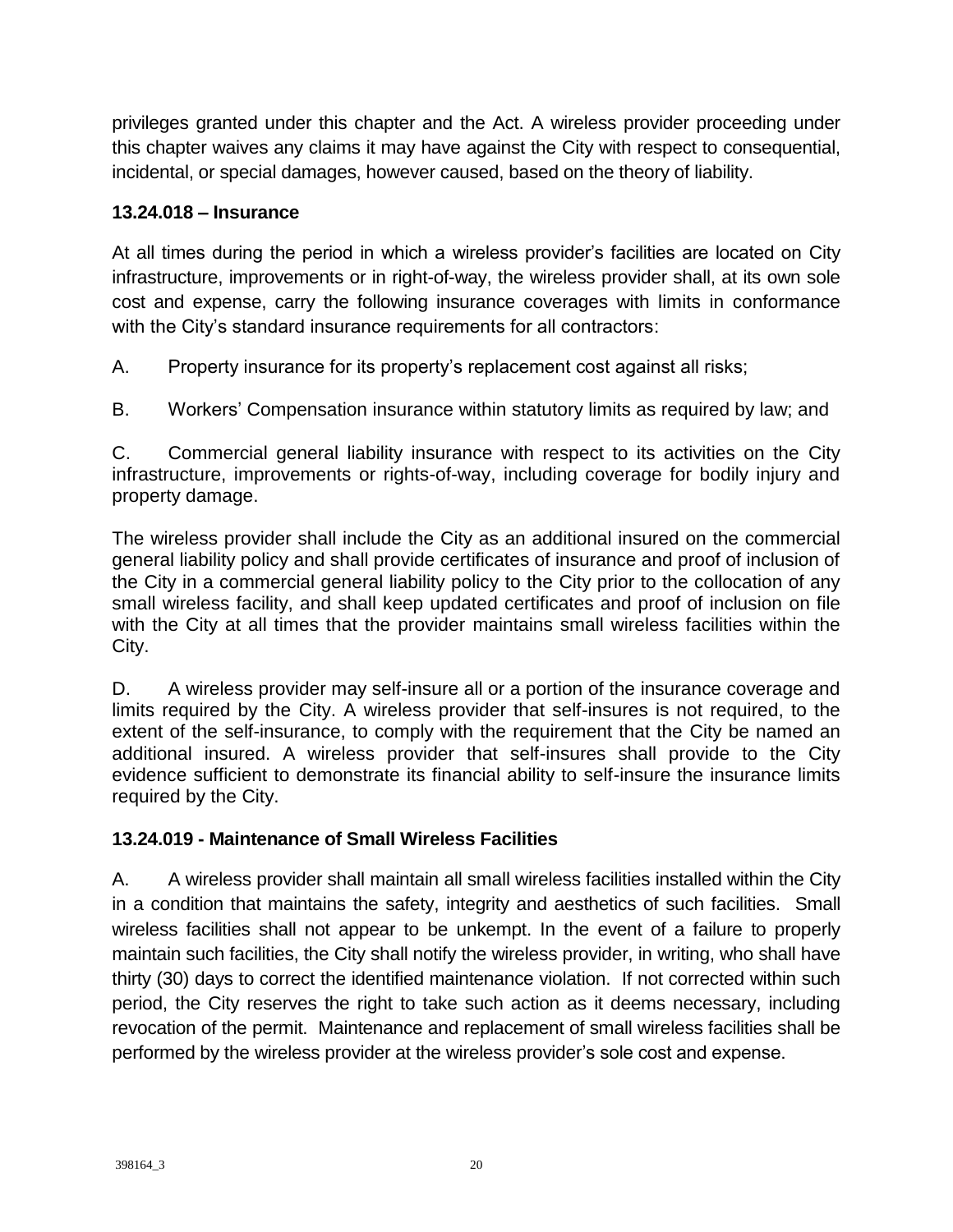privileges granted under this chapter and the Act. A wireless provider proceeding under this chapter waives any claims it may have against the City with respect to consequential, incidental, or special damages, however caused, based on the theory of liability.

### **13.24.018 – Insurance**

At all times during the period in which a wireless provider's facilities are located on City infrastructure, improvements or in right-of-way, the wireless provider shall, at its own sole cost and expense, carry the following insurance coverages with limits in conformance with the City's standard insurance requirements for all contractors:

A. Property insurance for its property's replacement cost against all risks;

B. Workers' Compensation insurance within statutory limits as required by law; and

C. Commercial general liability insurance with respect to its activities on the City infrastructure, improvements or rights-of-way, including coverage for bodily injury and property damage.

The wireless provider shall include the City as an additional insured on the commercial general liability policy and shall provide certificates of insurance and proof of inclusion of the City in a commercial general liability policy to the City prior to the collocation of any small wireless facility, and shall keep updated certificates and proof of inclusion on file with the City at all times that the provider maintains small wireless facilities within the City.

D. A wireless provider may self-insure all or a portion of the insurance coverage and limits required by the City. A wireless provider that self-insures is not required, to the extent of the self-insurance, to comply with the requirement that the City be named an additional insured. A wireless provider that self-insures shall provide to the City evidence sufficient to demonstrate its financial ability to self-insure the insurance limits required by the City.

## **13.24.019 - Maintenance of Small Wireless Facilities**

A. A wireless provider shall maintain all small wireless facilities installed within the City in a condition that maintains the safety, integrity and aesthetics of such facilities. Small wireless facilities shall not appear to be unkempt. In the event of a failure to properly maintain such facilities, the City shall notify the wireless provider, in writing, who shall have thirty (30) days to correct the identified maintenance violation. If not corrected within such period, the City reserves the right to take such action as it deems necessary, including revocation of the permit. Maintenance and replacement of small wireless facilities shall be performed by the wireless provider at the wireless provider's sole cost and expense.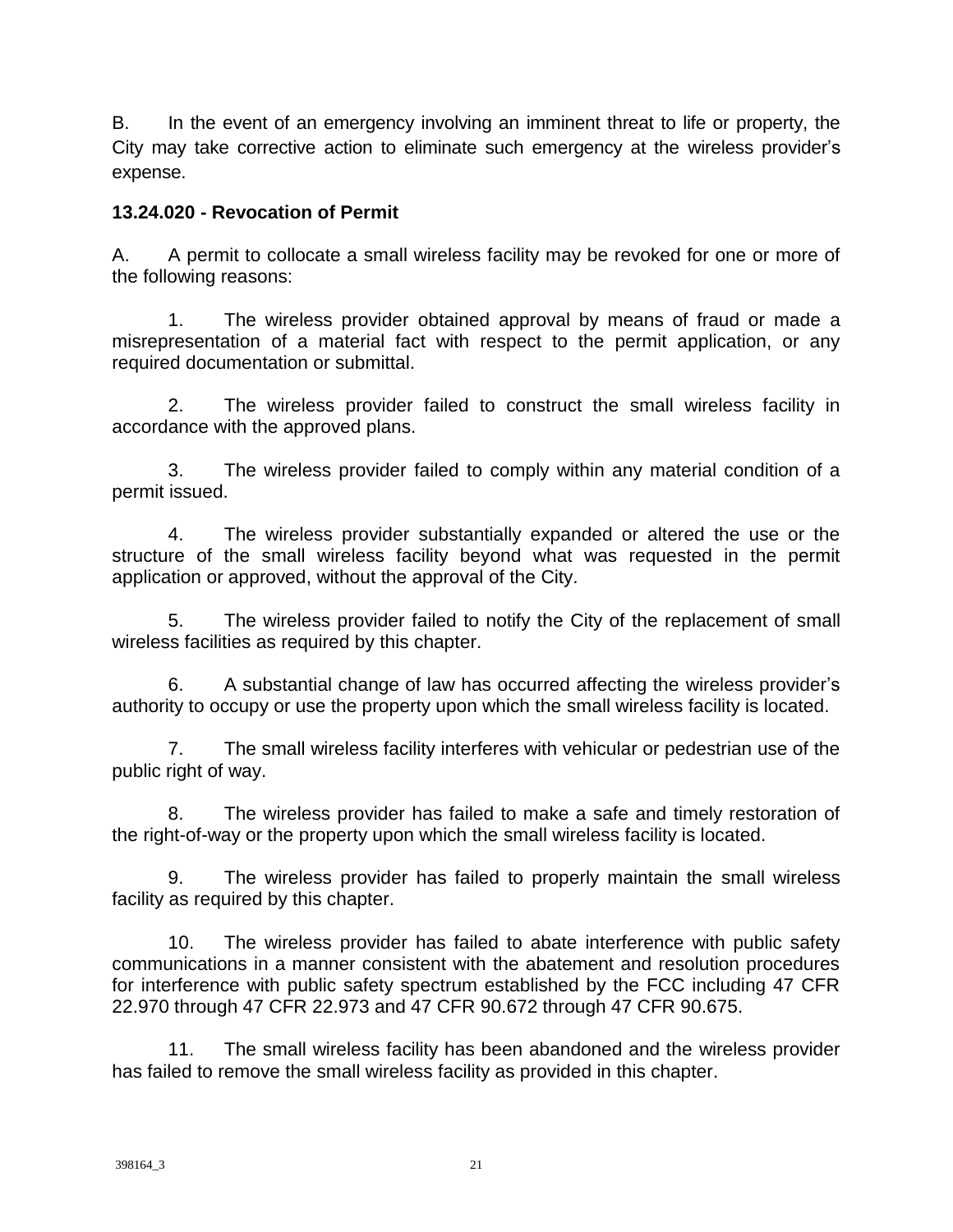B. In the event of an emergency involving an imminent threat to life or property, the City may take corrective action to eliminate such emergency at the wireless provider's expense.

### **13.24.020 - Revocation of Permit**

A. A permit to collocate a small wireless facility may be revoked for one or more of the following reasons:

1. The wireless provider obtained approval by means of fraud or made a misrepresentation of a material fact with respect to the permit application, or any required documentation or submittal.

2. The wireless provider failed to construct the small wireless facility in accordance with the approved plans.

3. The wireless provider failed to comply within any material condition of a permit issued.

4. The wireless provider substantially expanded or altered the use or the structure of the small wireless facility beyond what was requested in the permit application or approved, without the approval of the City.

5. The wireless provider failed to notify the City of the replacement of small wireless facilities as required by this chapter.

6. A substantial change of law has occurred affecting the wireless provider's authority to occupy or use the property upon which the small wireless facility is located.

7. The small wireless facility interferes with vehicular or pedestrian use of the public right of way.

8. The wireless provider has failed to make a safe and timely restoration of the right-of-way or the property upon which the small wireless facility is located.

9. The wireless provider has failed to properly maintain the small wireless facility as required by this chapter.

10. The wireless provider has failed to abate interference with public safety communications in a manner consistent with the abatement and resolution procedures for interference with public safety spectrum established by the FCC including 47 CFR 22.970 through 47 CFR 22.973 and 47 CFR 90.672 through 47 CFR 90.675.

11. The small wireless facility has been abandoned and the wireless provider has failed to remove the small wireless facility as provided in this chapter.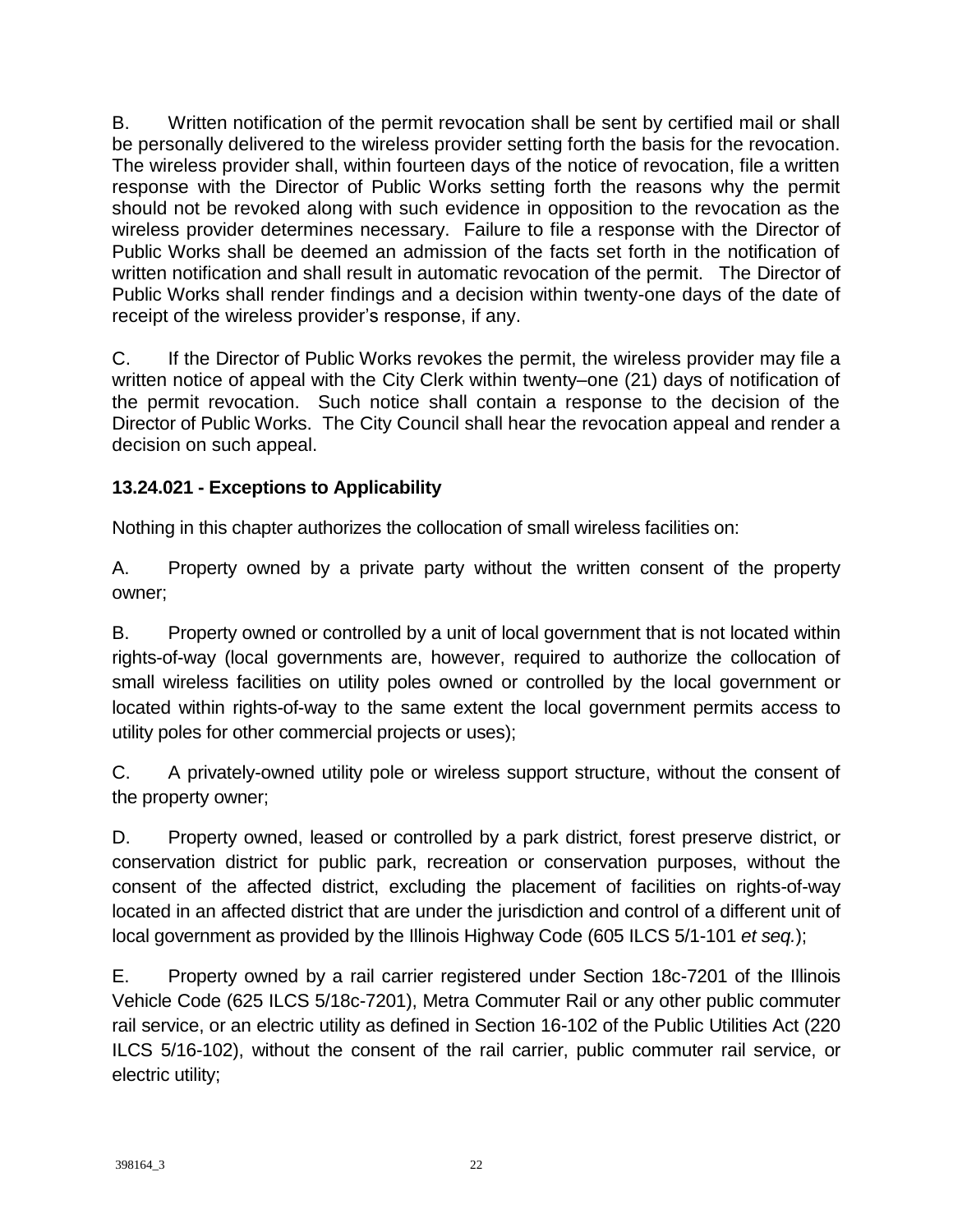B. Written notification of the permit revocation shall be sent by certified mail or shall be personally delivered to the wireless provider setting forth the basis for the revocation. The wireless provider shall, within fourteen days of the notice of revocation, file a written response with the Director of Public Works setting forth the reasons why the permit should not be revoked along with such evidence in opposition to the revocation as the wireless provider determines necessary. Failure to file a response with the Director of Public Works shall be deemed an admission of the facts set forth in the notification of written notification and shall result in automatic revocation of the permit. The Director of Public Works shall render findings and a decision within twenty-one days of the date of receipt of the wireless provider's response, if any.

C. If the Director of Public Works revokes the permit, the wireless provider may file a written notice of appeal with the City Clerk within twenty–one (21) days of notification of the permit revocation. Such notice shall contain a response to the decision of the Director of Public Works. The City Council shall hear the revocation appeal and render a decision on such appeal.

## **13.24.021 - Exceptions to Applicability**

Nothing in this chapter authorizes the collocation of small wireless facilities on:

A. Property owned by a private party without the written consent of the property owner;

B. Property owned or controlled by a unit of local government that is not located within rights-of-way (local governments are, however, required to authorize the collocation of small wireless facilities on utility poles owned or controlled by the local government or located within rights-of-way to the same extent the local government permits access to utility poles for other commercial projects or uses);

C. A privately-owned utility pole or wireless support structure, without the consent of the property owner;

D. Property owned, leased or controlled by a park district, forest preserve district, or conservation district for public park, recreation or conservation purposes, without the consent of the affected district, excluding the placement of facilities on rights-of-way located in an affected district that are under the jurisdiction and control of a different unit of local government as provided by the Illinois Highway Code (605 ILCS 5/1-101 *et seq.*);

E. Property owned by a rail carrier registered under Section 18c-7201 of the Illinois Vehicle Code (625 ILCS 5/18c-7201), Metra Commuter Rail or any other public commuter rail service, or an electric utility as defined in Section 16-102 of the Public Utilities Act (220 ILCS 5/16-102), without the consent of the rail carrier, public commuter rail service, or electric utility;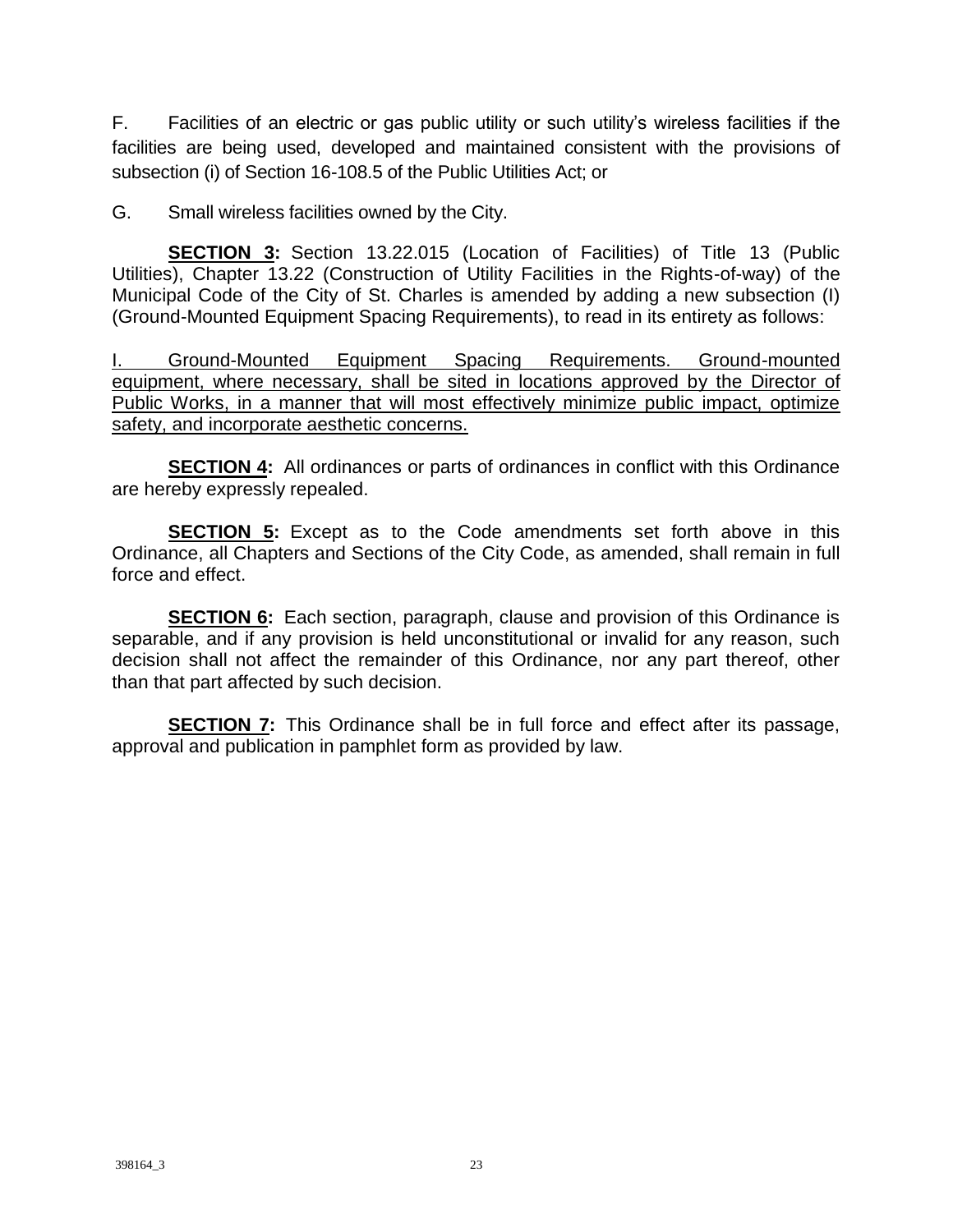F. Facilities of an electric or gas public utility or such utility's wireless facilities if the facilities are being used, developed and maintained consistent with the provisions of subsection (i) of Section 16-108.5 of the Public Utilities Act; or

G. Small wireless facilities owned by the City.

**SECTION 3:** Section 13.22.015 (Location of Facilities) of Title 13 (Public Utilities), Chapter 13.22 (Construction of Utility Facilities in the Rights-of-way) of the Municipal Code of the City of St. Charles is amended by adding a new subsection (I) (Ground-Mounted Equipment Spacing Requirements), to read in its entirety as follows:

I. Ground-Mounted Equipment Spacing Requirements. Ground-mounted equipment, where necessary, shall be sited in locations approved by the Director of Public Works, in a manner that will most effectively minimize public impact, optimize safety, and incorporate aesthetic concerns.

**SECTION 4:** All ordinances or parts of ordinances in conflict with this Ordinance are hereby expressly repealed.

**SECTION 5:** Except as to the Code amendments set forth above in this Ordinance, all Chapters and Sections of the City Code, as amended, shall remain in full force and effect.

**SECTION 6:** Each section, paragraph, clause and provision of this Ordinance is separable, and if any provision is held unconstitutional or invalid for any reason, such decision shall not affect the remainder of this Ordinance, nor any part thereof, other than that part affected by such decision.

**SECTION 7:** This Ordinance shall be in full force and effect after its passage, approval and publication in pamphlet form as provided by law.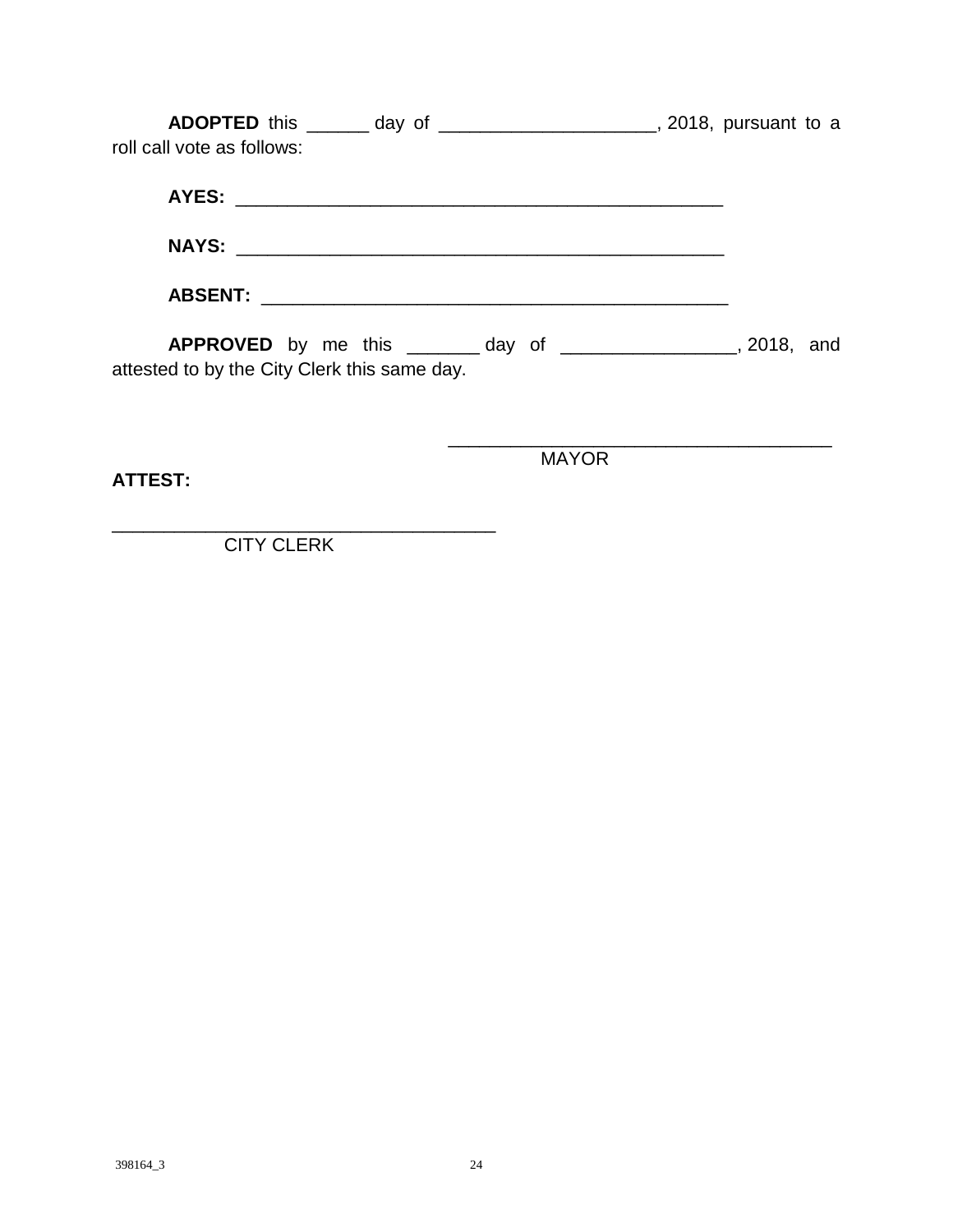**ADOPTED** this \_\_\_\_\_\_ day of \_\_\_\_\_\_\_\_\_\_\_\_\_\_\_\_\_\_\_\_\_, 2018, pursuant to a roll call vote as follows:

**AYES:** \_\_\_\_\_\_\_\_\_\_\_\_\_\_\_\_\_\_\_\_\_\_\_\_\_\_\_\_\_\_\_\_\_\_\_\_\_\_\_\_\_\_\_\_\_\_\_ **NAYS:** \_\_\_\_\_\_\_\_\_\_\_\_\_\_\_\_\_\_\_\_\_\_\_\_\_\_\_\_\_\_\_\_\_\_\_\_\_\_\_\_\_\_\_\_\_\_\_ **ABSENT:** \_\_\_\_\_\_\_\_\_\_\_\_\_\_\_\_\_\_\_\_\_\_\_\_\_\_\_\_\_\_\_\_\_\_\_\_\_\_\_\_\_\_\_\_\_

**APPROVED** by me this \_\_\_\_\_\_\_ day of \_\_\_\_\_\_\_\_\_\_\_\_\_\_\_\_\_, 2018, and attested to by the City Clerk this same day.

**ATTEST:**

MAYOR

\_\_\_\_\_\_\_\_\_\_\_\_\_\_\_\_\_\_\_\_\_\_\_\_\_\_\_\_\_\_\_\_\_\_\_\_\_

CITY CLERK

\_\_\_\_\_\_\_\_\_\_\_\_\_\_\_\_\_\_\_\_\_\_\_\_\_\_\_\_\_\_\_\_\_\_\_\_\_